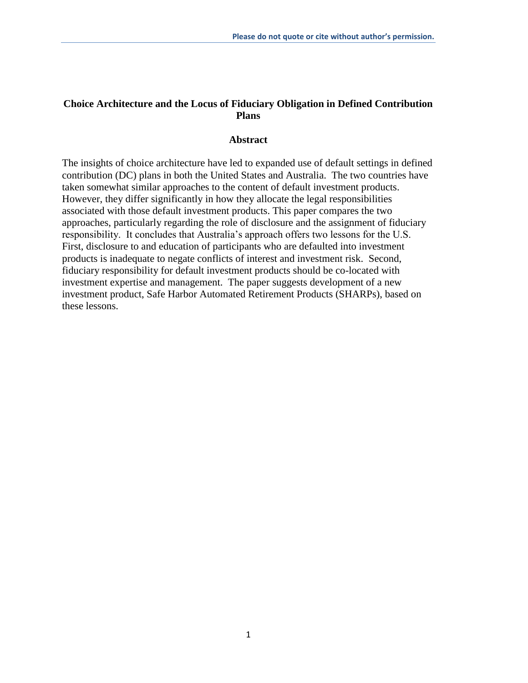#### **Choice Architecture and the Locus of Fiduciary Obligation in Defined Contribution Plans**

#### **Abstract**

The insights of choice architecture have led to expanded use of default settings in defined contribution (DC) plans in both the United States and Australia. The two countries have taken somewhat similar approaches to the content of default investment products. However, they differ significantly in how they allocate the legal responsibilities associated with those default investment products. This paper compares the two approaches, particularly regarding the role of disclosure and the assignment of fiduciary responsibility. It concludes that Australia's approach offers two lessons for the U.S. First, disclosure to and education of participants who are defaulted into investment products is inadequate to negate conflicts of interest and investment risk. Second, fiduciary responsibility for default investment products should be co-located with investment expertise and management. The paper suggests development of a new investment product, Safe Harbor Automated Retirement Products (SHARPs), based on these lessons.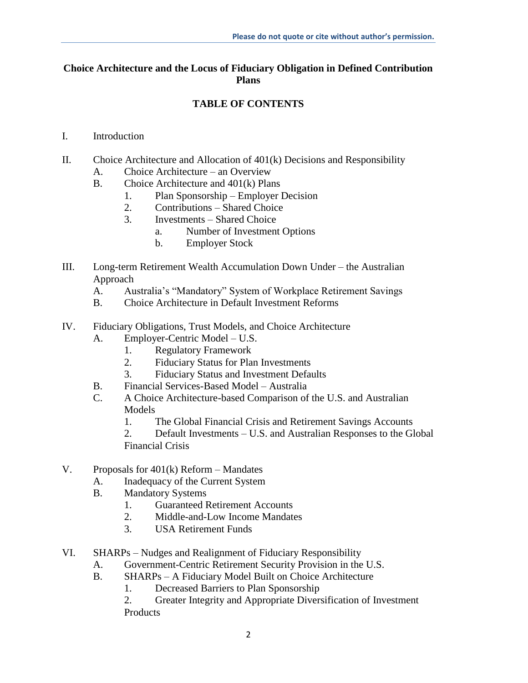# **Choice Architecture and the Locus of Fiduciary Obligation in Defined Contribution Plans**

# **TABLE OF CONTENTS**

- I. Introduction
- II. Choice Architecture and Allocation of 401(k) Decisions and Responsibility
	- A. Choice Architecture an Overview
	- B. Choice Architecture and 401(k) Plans
		- 1. Plan Sponsorship Employer Decision
		- 2. Contributions Shared Choice
		- 3. Investments Shared Choice
			- a. Number of Investment Options
			- b. Employer Stock
- III. Long-term Retirement Wealth Accumulation Down Under the Australian Approach
	- A. Australia's "Mandatory" System of Workplace Retirement Savings
	- B. Choice Architecture in Default Investment Reforms
- IV. Fiduciary Obligations, Trust Models, and Choice Architecture
	- A. Employer-Centric Model U.S.
		- 1. Regulatory Framework
		- 2. Fiduciary Status for Plan Investments
		- 3. Fiduciary Status and Investment Defaults
	- B. Financial Services-Based Model Australia
	- C. A Choice Architecture-based Comparison of the U.S. and Australian Models
		- 1. The Global Financial Crisis and Retirement Savings Accounts
		- 2. Default Investments U.S. and Australian Responses to the Global Financial Crisis
- V. Proposals for 401(k) Reform Mandates
	- A. Inadequacy of the Current System
	- B. Mandatory Systems
		- 1. Guaranteed Retirement Accounts
		- 2. Middle-and-Low Income Mandates
		- 3. USA Retirement Funds
- VI. SHARPs Nudges and Realignment of Fiduciary Responsibility
	- A. Government-Centric Retirement Security Provision in the U.S.
	- B. SHARPs A Fiduciary Model Built on Choice Architecture
		- 1. Decreased Barriers to Plan Sponsorship
		- 2. Greater Integrity and Appropriate Diversification of Investment Products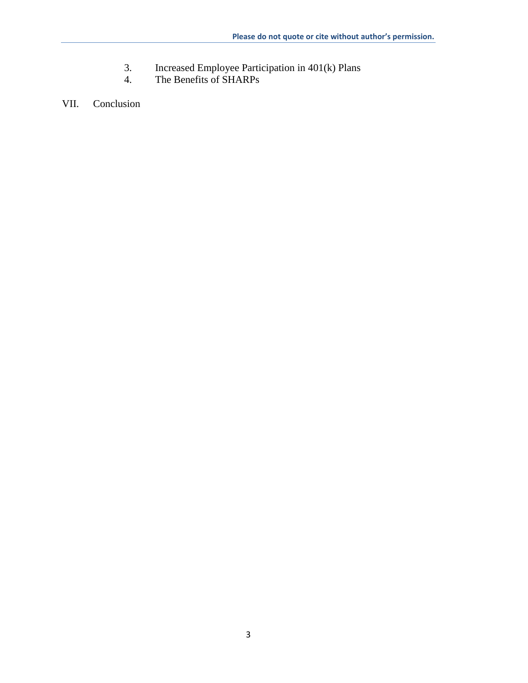- 3. Increased Employee Participation in 401(k) Plans<br>4. The Benefits of SHARPs
- The Benefits of SHARPs

VII. Conclusion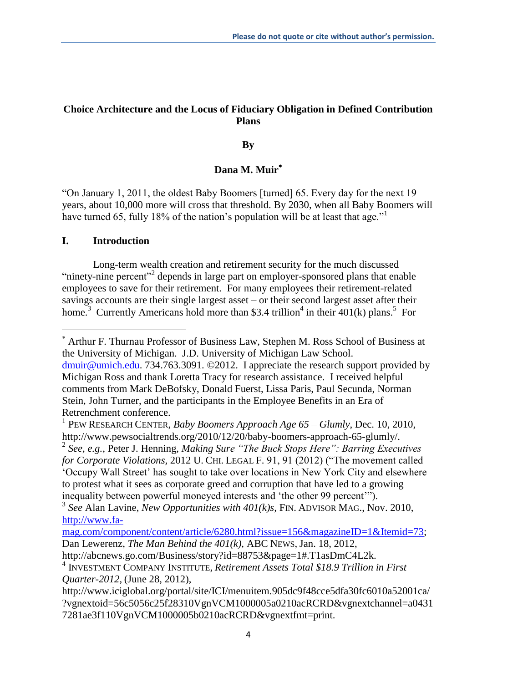# **Choice Architecture and the Locus of Fiduciary Obligation in Defined Contribution Plans**

#### **By**

# **Dana M. Muir**

"On January 1, 2011, the oldest Baby Boomers [turned] 65. Every day for the next 19 years, about 10,000 more will cross that threshold. By 2030, when all Baby Boomers will have turned 65, fully 18% of the nation's population will be at least that age."<sup>1</sup>

### **I. Introduction**

 $\overline{\phantom{a}}$ 

Long-term wealth creation and retirement security for the much discussed "ninety-nine percent"<sup>2</sup> depends in large part on employer-sponsored plans that enable employees to save for their retirement. For many employees their retirement-related savings accounts are their single largest asset – or their second largest asset after their home.<sup>3</sup> Currently Americans hold more than \$3.4 trillion<sup>4</sup> in their 401(k) plans.<sup>5</sup> For

http://abcnews.go.com/Business/story?id=88753&page=1#.T1asDmC4L2k.

Arthur F. Thurnau Professor of Business Law, Stephen M. Ross School of Business at the University of Michigan. J.D. University of Michigan Law School. dmuir@umich.edu. 734.763.3091. ©2012. I appreciate the research support provided by Michigan Ross and thank Loretta Tracy for research assistance. I received helpful

comments from Mark DeBofsky, Donald Fuerst, Lissa Paris, Paul Secunda, Norman Stein, John Turner, and the participants in the Employee Benefits in an Era of Retrenchment conference.

<sup>1</sup> PEW RESEARCH CENTER, *Baby Boomers Approach Age 65 – Glumly*, Dec. 10, 2010, http://www.pewsocialtrends.org/2010/12/20/baby-boomers-approach-65-glumly/.

<sup>2</sup> *See, e.g.*, Peter J. Henning, *Making Sure "The Buck Stops Here": Barring Executives for Corporate Violations,* 2012 U. CHI. LEGAL F. 91, 91 (2012) ("The movement called 'Occupy Wall Street' has sought to take over locations in New York City and elsewhere to protest what it sees as corporate greed and corruption that have led to a growing

inequality between powerful moneyed interests and 'the other 99 percent'").

<sup>3</sup> *See* Alan Lavine, *New Opportunities with 401(k)s,* FIN. ADVISOR MAG., Nov. 2010, http://www.fa-

mag.com/component/content/article/6280.html?issue=156&magazineID=1&Itemid=73; Dan Lewerenz, *The Man Behind the 401(k),* ABC NEWS, Jan. 18, 2012,

<sup>4</sup> INVESTMENT COMPANY INSTITUTE, *Retirement Assets Total \$18.9 Trillion in First Quarter-2012,* (June 28, 2012),

http://www.iciglobal.org/portal/site/ICI/menuitem.905dc9f48cce5dfa30fc6010a52001ca/ ?vgnextoid=56c5056c25f28310VgnVCM1000005a0210acRCRD&vgnextchannel=a0431 7281ae3f110VgnVCM1000005b0210acRCRD&vgnextfmt=print.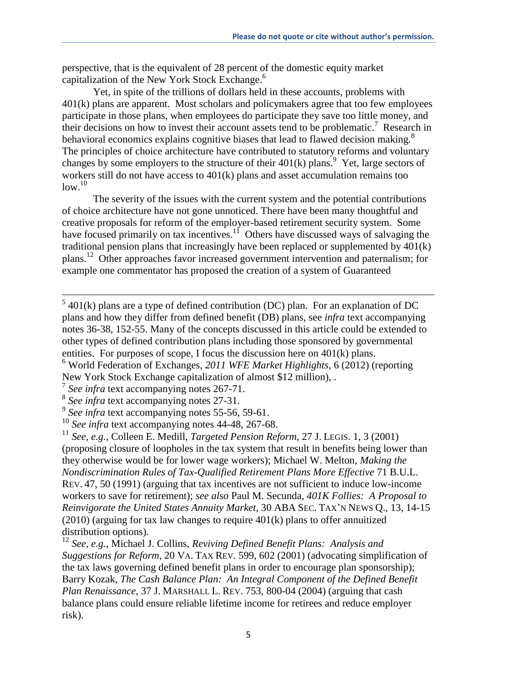perspective, that is the equivalent of 28 percent of the domestic equity market capitalization of the New York Stock Exchange.<sup>6</sup>

Yet, in spite of the trillions of dollars held in these accounts, problems with 401(k) plans are apparent. Most scholars and policymakers agree that too few employees participate in those plans, when employees do participate they save too little money, and their decisions on how to invest their account assets tend to be problematic.<sup>7</sup> Research in behavioral economics explains cognitive biases that lead to flawed decision making. $8$ The principles of choice architecture have contributed to statutory reforms and voluntary changes by some employers to the structure of their  $401(k)$  plans.<sup>9</sup> Yet, large sectors of workers still do not have access to 401(k) plans and asset accumulation remains too  $low<sup>10</sup>$ 

The severity of the issues with the current system and the potential contributions of choice architecture have not gone unnoticed. There have been many thoughtful and creative proposals for reform of the employer-based retirement security system. Some have focused primarily on tax incentives.<sup>11</sup> Others have discussed ways of salvaging the traditional pension plans that increasingly have been replaced or supplemented by 401(k) plans.<sup>12</sup> Other approaches favor increased government intervention and paternalism; for example one commentator has proposed the creation of a system of Guaranteed

 $5/5$  401(k) plans are a type of defined contribution (DC) plan. For an explanation of DC plans and how they differ from defined benefit (DB) plans, see *infra* text accompanying notes 36-38, 152-55. Many of the concepts discussed in this article could be extended to other types of defined contribution plans including those sponsored by governmental entities. For purposes of scope, I focus the discussion here on 401(k) plans.

<sup>6</sup> World Federation of Exchanges, *2011 WFE Market Highlights,* 6 (2012) (reporting New York Stock Exchange capitalization of almost \$12 million), .

<sup>7</sup> *See infra* text accompanying notes 267-71.

<sup>8</sup> *See infra* text accompanying notes 27-31.

<sup>9</sup> *See infra* text accompanying notes 55-56, 59-61.

<sup>&</sup>lt;sup>10</sup> See infra text accompanying notes 44-48, 267-68.

<sup>11</sup> *See, e.g.*, Colleen E. Medill, *Targeted Pension Reform,* 27 J. LEGIS. 1, 3 (2001) (proposing closure of loopholes in the tax system that result in benefits being lower than they otherwise would be for lower wage workers); Michael W. Melton, *Making the Nondiscrimination Rules of Tax-Qualified Retirement Plans More Effective* 71 B.U.L. REV. 47, 50 (1991) (arguing that tax incentives are not sufficient to induce low-income workers to save for retirement); *see also* Paul M. Secunda, *401K Follies: A Proposal to Reinvigorate the United States Annuity Market,* 30 ABA SEC. TAX'N NEWS Q., 13, 14-15 (2010) (arguing for tax law changes to require 401(k) plans to offer annuitized distribution options).

<sup>12</sup> *See, e.g.*, Michael J. Collins, *Reviving Defined Benefit Plans: Analysis and Suggestions for Reform,* 20 VA. TAX REV. 599, 602 (2001) (advocating simplification of the tax laws governing defined benefit plans in order to encourage plan sponsorship); Barry Kozak, *The Cash Balance Plan: An Integral Component of the Defined Benefit Plan Renaissance,* 37 J. MARSHALL L. REV. 753, 800-04 (2004) (arguing that cash balance plans could ensure reliable lifetime income for retirees and reduce employer risk).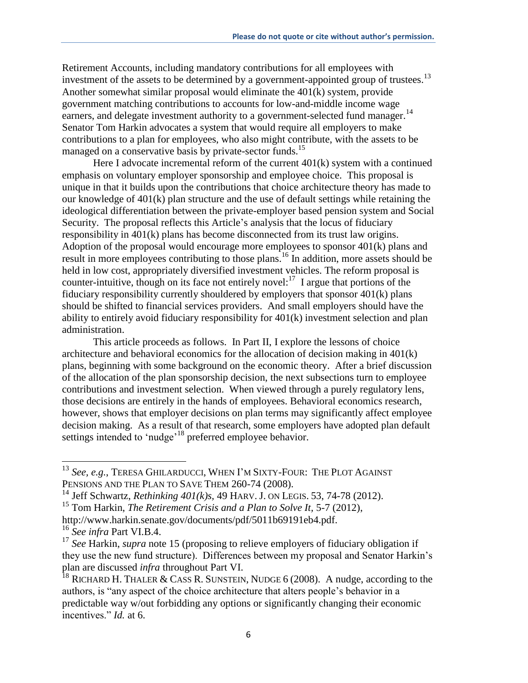Retirement Accounts, including mandatory contributions for all employees with investment of the assets to be determined by a government-appointed group of trustees.<sup>13</sup> Another somewhat similar proposal would eliminate the 401(k) system, provide government matching contributions to accounts for low-and-middle income wage earners, and delegate investment authority to a government-selected fund manager.<sup>14</sup> Senator Tom Harkin advocates a system that would require all employers to make contributions to a plan for employees, who also might contribute, with the assets to be managed on a conservative basis by private-sector funds.<sup>15</sup>

Here I advocate incremental reform of the current 401(k) system with a continued emphasis on voluntary employer sponsorship and employee choice. This proposal is unique in that it builds upon the contributions that choice architecture theory has made to our knowledge of 401(k) plan structure and the use of default settings while retaining the ideological differentiation between the private-employer based pension system and Social Security. The proposal reflects this Article's analysis that the locus of fiduciary responsibility in 401(k) plans has become disconnected from its trust law origins. Adoption of the proposal would encourage more employees to sponsor 401(k) plans and result in more employees contributing to those plans.<sup>16</sup> In addition, more assets should be held in low cost, appropriately diversified investment vehicles. The reform proposal is counter-intuitive, though on its face not entirely novel: $17$  I argue that portions of the fiduciary responsibility currently shouldered by employers that sponsor 401(k) plans should be shifted to financial services providers. And small employers should have the ability to entirely avoid fiduciary responsibility for 401(k) investment selection and plan administration.

This article proceeds as follows. In Part II, I explore the lessons of choice architecture and behavioral economics for the allocation of decision making in 401(k) plans, beginning with some background on the economic theory. After a brief discussion of the allocation of the plan sponsorship decision, the next subsections turn to employee contributions and investment selection. When viewed through a purely regulatory lens, those decisions are entirely in the hands of employees. Behavioral economics research, however, shows that employer decisions on plan terms may significantly affect employee decision making. As a result of that research, some employers have adopted plan default settings intended to 'nudge'<sup>18</sup> preferred employee behavior.

<sup>13</sup> *See, e.g.*, TERESA GHILARDUCCI, WHEN I'M SIXTY-FOUR: THE PLOT AGAINST PENSIONS AND THE PLAN TO SAVE THEM 260-74 (2008).

<sup>14</sup> Jeff Schwartz, *Rethinking 401(k)s,* 49 HARV. J. ON LEGIS. 53, 74-78 (2012).

<sup>&</sup>lt;sup>15</sup> Tom Harkin, *The Retirement Crisis and a Plan to Solve It, 5-7 (2012)*,

http://www.harkin.senate.gov/documents/pdf/5011b69191eb4.pdf.

<sup>16</sup> *See infra* Part VI.B.4.

<sup>&</sup>lt;sup>17</sup> See Harkin, *supra* note 15 (proposing to relieve employers of fiduciary obligation if they use the new fund structure). Differences between my proposal and Senator Harkin's plan are discussed *infra* throughout Part VI.

<sup>&</sup>lt;sup>18</sup> RICHARD H. THALER & CASS R. SUNSTEIN, NUDGE 6 (2008). A nudge, according to the authors, is "any aspect of the choice architecture that alters people's behavior in a predictable way w/out forbidding any options or significantly changing their economic incentives." *Id.* at 6.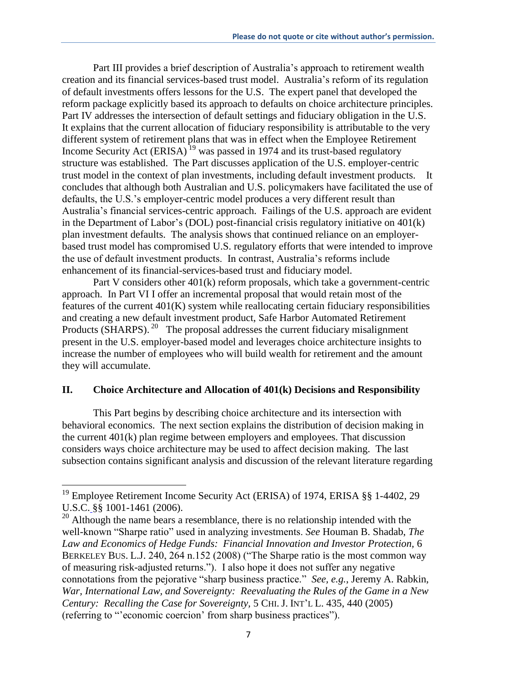Part III provides a brief description of Australia's approach to retirement wealth creation and its financial services-based trust model. Australia's reform of its regulation of default investments offers lessons for the U.S. The expert panel that developed the reform package explicitly based its approach to defaults on choice architecture principles. Part IV addresses the intersection of default settings and fiduciary obligation in the U.S. It explains that the current allocation of fiduciary responsibility is attributable to the very different system of retirement plans that was in effect when the Employee Retirement Income Security Act  $(ERISA)^{19}$  was passed in 1974 and its trust-based regulatory structure was established. The Part discusses application of the U.S. employer-centric trust model in the context of plan investments, including default investment products. It concludes that although both Australian and U.S. policymakers have facilitated the use of defaults, the U.S.'s employer-centric model produces a very different result than Australia's financial services-centric approach. Failings of the U.S. approach are evident in the Department of Labor's (DOL) post-financial crisis regulatory initiative on 401(k) plan investment defaults. The analysis shows that continued reliance on an employerbased trust model has compromised U.S. regulatory efforts that were intended to improve the use of default investment products. In contrast, Australia's reforms include enhancement of its financial-services-based trust and fiduciary model.

Part V considers other 401(k) reform proposals, which take a government-centric approach. In Part VI I offer an incremental proposal that would retain most of the features of the current 401(K) system while reallocating certain fiduciary responsibilities and creating a new default investment product, Safe Harbor Automated Retirement Products (SHARPS).<sup>20</sup> The proposal addresses the current fiduciary misalignment present in the U.S. employer-based model and leverages choice architecture insights to increase the number of employees who will build wealth for retirement and the amount they will accumulate.

#### **II. Choice Architecture and Allocation of 401(k) Decisions and Responsibility**

This Part begins by describing choice architecture and its intersection with behavioral economics. The next section explains the distribution of decision making in the current 401(k) plan regime between employers and employees. That discussion considers ways choice architecture may be used to affect decision making. The last subsection contains significant analysis and discussion of the relevant literature regarding

l

<sup>&</sup>lt;sup>19</sup> Employee Retirement Income Security Act (ERISA) of 1974, ERISA  $\S$ § 1-4402, 29 U.S.C. [§§ 1001-](http://www.lexis.com/research/buttonTFLink?_m=485759cb3c7fb10e65f4db9c8f9f757c&_xfercite=%3ccite%20cc%3d%22USA%22%3e%3c%21%5bCDATA%5b23%20Berkeley%20J.%20Emp.%20%26%20Lab.%20L.%201%5d%5d%3e%3c%2fcite%3e&_butType=4&_butStat=0&_butNum=368&_butInline=1&_butinfo=29%20USC%201001&_fmtstr=FULL&docnum=1&_startdoc=1&wchp=dGLbVzV-zSkAl&_md5=138e2e24b75723a84a78159ebeb7eba7)1461 (2006).

 $20$  Although the name bears a resemblance, there is no relationship intended with the well-known "Sharpe ratio" used in analyzing investments. *See* Houman B. Shadab, *The Law and Economics of Hedge Funds: Financial Innovation and Investor Protection,* 6 BERKELEY BUS. L.J. 240, 264 n.152 (2008) ("The Sharpe ratio is the most common way of measuring risk-adjusted returns."). I also hope it does not suffer any negative connotations from the pejorative "sharp business practice." *See, e.g.*, Jeremy A. Rabkin, *War, International Law, and Sovereignty: Reevaluating the Rules of the Game in a New Century: Recalling the Case for Sovereignty,* 5 CHI. J. INT'L L. 435, 440 (2005) (referring to "'economic coercion' from sharp business practices").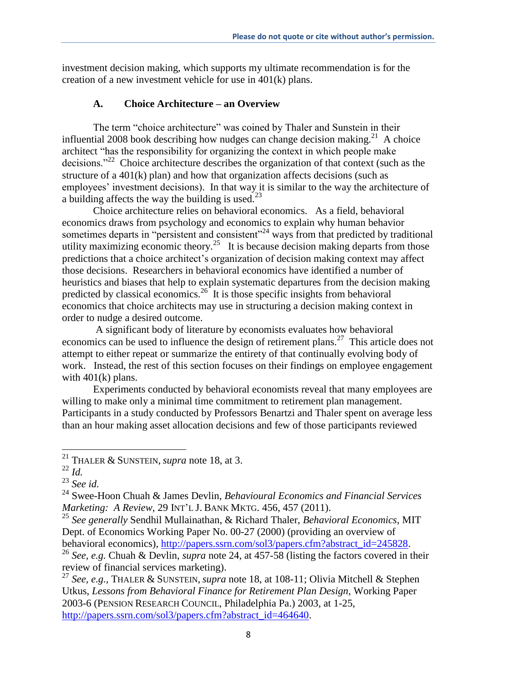investment decision making, which supports my ultimate recommendation is for the creation of a new investment vehicle for use in 401(k) plans.

## **A. Choice Architecture – an Overview**

The term "choice architecture" was coined by Thaler and Sunstein in their influential 2008 book describing how nudges can change decision making.<sup>21</sup> A choice architect "has the responsibility for organizing the context in which people make decisions."<sup>22</sup> Choice architecture describes the organization of that context (such as the structure of a 401(k) plan) and how that organization affects decisions (such as employees' investment decisions). In that way it is similar to the way the architecture of a building affects the way the building is used.<sup>23</sup>

Choice architecture relies on behavioral economics. As a field, behavioral economics draws from psychology and economics to explain why human behavior sometimes departs in "persistent and consistent"<sup>24</sup> ways from that predicted by traditional utility maximizing economic theory.<sup>25</sup> It is because decision making departs from those predictions that a choice architect's organization of decision making context may affect those decisions. Researchers in behavioral economics have identified a number of heuristics and biases that help to explain systematic departures from the decision making predicted by classical economics.<sup>26</sup> It is those specific insights from behavioral economics that choice architects may use in structuring a decision making context in order to nudge a desired outcome.

A significant body of literature by economists evaluates how behavioral economics can be used to influence the design of retirement plans.<sup>27</sup> This article does not attempt to either repeat or summarize the entirety of that continually evolving body of work. Instead, the rest of this section focuses on their findings on employee engagement with  $401(k)$  plans.

Experiments conducted by behavioral economists reveal that many employees are willing to make only a minimal time commitment to retirement plan management. Participants in a study conducted by Professors Benartzi and Thaler spent on average less than an hour making asset allocation decisions and few of those participants reviewed

<sup>21</sup> THALER & SUNSTEIN, *supra* note 18, at 3.

 $22$  *Id.* 

<sup>23</sup> *See id.*

<sup>24</sup> Swee-Hoon Chuah & James Devlin, *Behavioural Economics and Financial Services Marketing: A Review,* 29 INT'L J. BANK MKTG. 456, 457 (2011).

<sup>25</sup> *See generally* Sendhil Mullainathan, & Richard Thaler, *Behavioral Economics,* MIT Dept. of Economics Working Paper No. 00-27 (2000) (providing an overview of behavioral economics), http://papers.ssrn.com/sol3/papers.cfm?abstract\_id=245828.

<sup>26</sup> *See, e.g.* Chuah & Devlin, *supra* note 24, at 457-58 (listing the factors covered in their review of financial services marketing).

<sup>27</sup> *See, e.g.,* THALER & SUNSTEIN, *supra* note 18, at 108-11; Olivia Mitchell & Stephen Utkus, *Lessons from Behavioral Finance for Retirement Plan Design,* Working Paper 2003-6 (PENSION RESEARCH COUNCIL, Philadelphia Pa.) 2003, at 1-25, http://papers.ssrn.com/sol3/papers.cfm?abstract\_id=464640.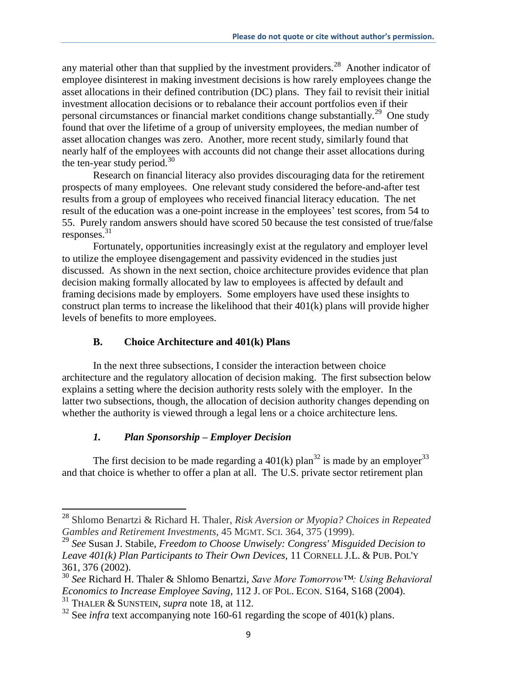any material other than that supplied by the investment providers.<sup>28</sup> Another indicator of employee disinterest in making investment decisions is how rarely employees change the asset allocations in their defined contribution (DC) plans. They fail to revisit their initial investment allocation decisions or to rebalance their account portfolios even if their personal circumstances or financial market conditions change substantially.<sup>29</sup> One study found that over the lifetime of a group of university employees, the median number of asset allocation changes was zero. Another, more recent study, similarly found that nearly half of the employees with accounts did not change their asset allocations during the ten-year study period. $30$ 

Research on financial literacy also provides discouraging data for the retirement prospects of many employees. One relevant study considered the before-and-after test results from a group of employees who received financial literacy education. The net result of the education was a one-point increase in the employees' test scores, from 54 to 55. Purely random answers should have scored 50 because the test consisted of true/false responses. 31

Fortunately, opportunities increasingly exist at the regulatory and employer level to utilize the employee disengagement and passivity evidenced in the studies just discussed. As shown in the next section, choice architecture provides evidence that plan decision making formally allocated by law to employees is affected by default and framing decisions made by employers. Some employers have used these insights to construct plan terms to increase the likelihood that their 401(k) plans will provide higher levels of benefits to more employees.

# **B. Choice Architecture and 401(k) Plans**

In the next three subsections, I consider the interaction between choice architecture and the regulatory allocation of decision making. The first subsection below explains a setting where the decision authority rests solely with the employer. In the latter two subsections, though, the allocation of decision authority changes depending on whether the authority is viewed through a legal lens or a choice architecture lens.

# *1. Plan Sponsorship – Employer Decision*

The first decision to be made regarding a  $401(k)$  plan<sup>32</sup> is made by an employer<sup>33</sup> and that choice is whether to offer a plan at all. The U.S. private sector retirement plan

<sup>28</sup> Shlomo Benartzi & Richard H. Thaler, *Risk Aversion or Myopia? Choices in Repeated Gambles and Retirement Investments,* 45 MGMT. SCI. 364, 375 (1999).

<sup>29</sup> *See* Susan J. Stabile, *Freedom to Choose Unwisely: Congress' Misguided Decision to Leave 401(k) Plan Participants to Their Own Devices,* 11 CORNELL J.L. & PUB. POL'Y 361, 376 (2002).

<sup>30</sup> *See* Richard H. Thaler & Shlomo Benartzi, *Save More Tomorrow™: Using Behavioral Economics to Increase Employee Saving,* 112 J. OF POL. ECON. S164, S168 (2004).

<sup>31</sup> THALER & SUNSTEIN, *supra* note 18, at 112.

 $32$  See *infra* text accompanying note 160-61 regarding the scope of 401(k) plans.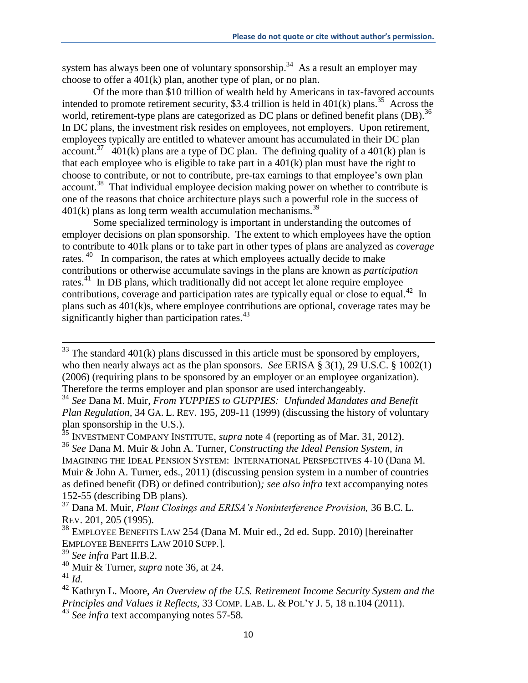system has always been one of voluntary sponsorship.<sup>34</sup> As a result an employer may choose to offer a 401(k) plan, another type of plan, or no plan.

Of the more than \$10 trillion of wealth held by Americans in tax-favored accounts intended to promote retirement security, \$3.4 trillion is held in  $401(k)$  plans.<sup>35</sup> Across the world, retirement-type plans are categorized as DC plans or defined benefit plans (DB).<sup>36</sup> In DC plans, the investment risk resides on employees, not employers. Upon retirement, employees typically are entitled to whatever amount has accumulated in their DC plan account.<sup>37</sup> 401(k) plans are a type of DC plan. The defining quality of a 401(k) plan is that each employee who is eligible to take part in a 401(k) plan must have the right to choose to contribute, or not to contribute, pre-tax earnings to that employee's own plan account.<sup>38</sup> That individual employee decision making power on whether to contribute is one of the reasons that choice architecture plays such a powerful role in the success of  $401(k)$  plans as long term wealth accumulation mechanisms.<sup>39</sup>

Some specialized terminology is important in understanding the outcomes of employer decisions on plan sponsorship. The extent to which employees have the option to contribute to 401k plans or to take part in other types of plans are analyzed as *coverage* rates.<sup>40</sup> In comparison, the rates at which employees actually decide to make contributions or otherwise accumulate savings in the plans are known as *participation* rates.<sup>41</sup> In DB plans, which traditionally did not accept let alone require employee contributions, coverage and participation rates are typically equal or close to equal.<sup>42</sup> In plans such as 401(k)s, where employee contributions are optional, coverage rates may be significantly higher than participation rates. $43$ 

<sup>39</sup> *See infra* Part II.B.2.

<sup>40</sup> Muir & Turner, *supra* note 36, at 24.

 $33$  The standard 401(k) plans discussed in this article must be sponsored by employers, who then nearly always act as the plan sponsors. *See* ERISA § 3(1), 29 U.S.C. § 1002(1) (2006) (requiring plans to be sponsored by an employer or an employee organization). Therefore the terms employer and plan sponsor are used interchangeably.

<sup>34</sup> *See* Dana M. Muir, *From YUPPIES to GUPPIES: Unfunded Mandates and Benefit Plan Regulation,* 34 GA. L. REV. 195, 209-11 (1999) (discussing the history of voluntary plan sponsorship in the U.S.).

<sup>35</sup> INVESTMENT COMPANY INSTITUTE, *supra* note 4 (reporting as of Mar. 31, 2012).

<sup>36</sup> *See* Dana M. Muir & John A. Turner, *Constructing the Ideal Pension System, in*  IMAGINING THE IDEAL PENSION SYSTEM: INTERNATIONAL PERSPECTIVES 4-10 (Dana M. Muir & John A. Turner, eds., 2011) (discussing pension system in a number of countries as defined benefit (DB) or defined contribution)*; see also infra* text accompanying notes 152-55 (describing DB plans).

<sup>37</sup> Dana M. Muir, *Plant Closings and ERISA's Noninterference Provision,* 36 B.C. L. REV. 201, 205 (1995).

<sup>&</sup>lt;sup>38</sup> EMPLOYEE BENEFITS LAW 254 (Dana M. Muir ed., 2d ed. Supp. 2010) [hereinafter EMPLOYEE BENEFITS LAW 2010 SUPP.].

<sup>41</sup> *Id.* 

<sup>42</sup> Kathryn L. Moore, *An Overview of the U.S. Retirement Income Security System and the Principles and Values it Reflects,* 33 COMP. LAB. L. & POL'Y J. 5, 18 n.104 (2011).

<sup>43</sup> *See infra* text accompanying notes 57-58*.*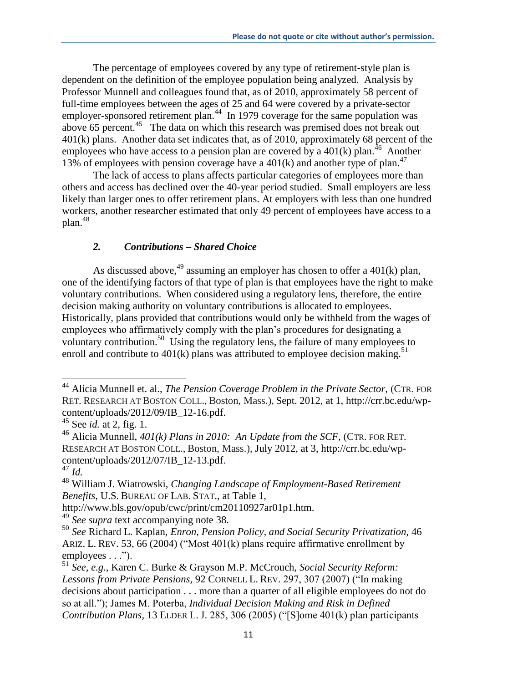The percentage of employees covered by any type of retirement-style plan is dependent on the definition of the employee population being analyzed. Analysis by Professor Munnell and colleagues found that, as of 2010, approximately 58 percent of full-time employees between the ages of 25 and 64 were covered by a private-sector employer-sponsored retirement plan.<sup>44</sup> In 1979 coverage for the same population was above 65 percent.<sup>45</sup> The data on which this research was premised does not break out 401(k) plans. Another data set indicates that, as of 2010, approximately 68 percent of the employees who have access to a pension plan are covered by a  $401(k)$  plan.<sup>46</sup> Another 13% of employees with pension coverage have a  $401(k)$  and another type of plan.<sup>47</sup>

The lack of access to plans affects particular categories of employees more than others and access has declined over the 40-year period studied. Small employers are less likely than larger ones to offer retirement plans. At employers with less than one hundred workers, another researcher estimated that only 49 percent of employees have access to a plan.<sup>48</sup>

### *2. Contributions – Shared Choice*

As discussed above,  $^{49}$  assuming an employer has chosen to offer a 401(k) plan, one of the identifying factors of that type of plan is that employees have the right to make voluntary contributions. When considered using a regulatory lens, therefore, the entire decision making authority on voluntary contributions is allocated to employees. Historically, plans provided that contributions would only be withheld from the wages of employees who affirmatively comply with the plan's procedures for designating a voluntary contribution.<sup>50</sup> Using the regulatory lens, the failure of many employees to enroll and contribute to  $401(k)$  plans was attributed to employee decision making.<sup>51</sup>

<sup>&</sup>lt;sup>44</sup> Alicia Munnell et. al., *The Pension Coverage Problem in the Private Sector*, (CTR. FOR RET. RESEARCH AT BOSTON COLL., Boston, Mass.), Sept. 2012, at 1, http://crr.bc.edu/wpcontent/uploads/2012/09/IB\_12-16.pdf.

<sup>45</sup> See *id.* at 2, fig. 1.

<sup>46</sup> Alicia Munnell, *401(k) Plans in 2010: An Update from the SCF,* (CTR. FOR RET. RESEARCH AT BOSTON COLL., Boston, Mass.), July 2012, at 3, http://crr.bc.edu/wpcontent/uploads/2012/07/IB\_12-13.pdf.

<sup>47</sup> *Id.*

<sup>48</sup> William J. Wiatrowski, *Changing Landscape of Employment-Based Retirement Benefits,* U.S. BUREAU OF LAB. STAT., at Table 1,

http://www.bls.gov/opub/cwc/print/cm20110927ar01p1.htm.

<sup>49</sup> *See supra* text accompanying note 38.

<sup>50</sup> *See* Richard L. Kaplan, *Enron, Pension Policy, and Social Security Privatization,* 46 ARIZ. L. REV. 53, 66 (2004) ("Most 401(k) plans require affirmative enrollment by employees . . .").

<sup>51</sup> *See, e.g.*, Karen C. Burke & Grayson M.P. McCrouch, *Social Security Reform: Lessons from Private Pensions,* 92 CORNELL L. REV. 297, 307 (2007) ("In making decisions about participation . . . more than a quarter of all eligible employees do not do so at all."); James M. Poterba, *Individual Decision Making and Risk in Defined Contribution Plans,* 13 ELDER L. J. 285, 306 (2005) ("[S]ome 401(k) plan participants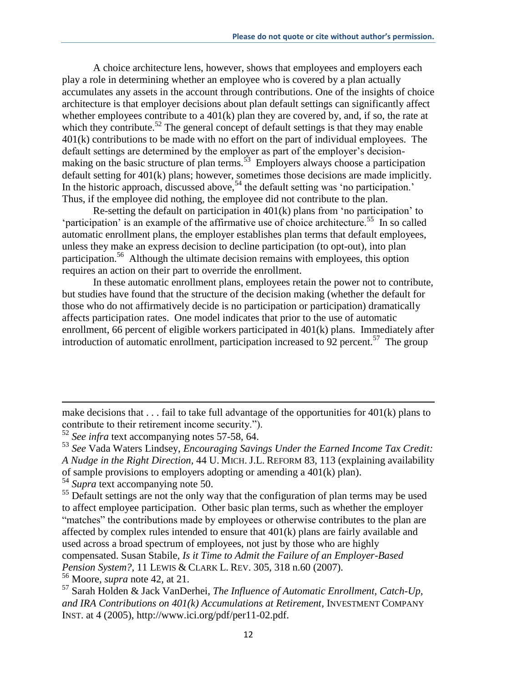A choice architecture lens, however, shows that employees and employers each play a role in determining whether an employee who is covered by a plan actually accumulates any assets in the account through contributions. One of the insights of choice architecture is that employer decisions about plan default settings can significantly affect whether employees contribute to a 401(k) plan they are covered by, and, if so, the rate at which they contribute.<sup>52</sup> The general concept of default settings is that they may enable 401(k) contributions to be made with no effort on the part of individual employees. The default settings are determined by the employer as part of the employer's decisionmaking on the basic structure of plan terms.<sup>53</sup> Employers always choose a participation default setting for 401(k) plans; however, sometimes those decisions are made implicitly. In the historic approach, discussed above,  $54$  the default setting was 'no participation.' Thus, if the employee did nothing, the employee did not contribute to the plan.

Re-setting the default on participation in  $401(k)$  plans from 'no participation' to 'participation' is an example of the affirmative use of choice architecture.<sup>55</sup> In so called automatic enrollment plans, the employer establishes plan terms that default employees, unless they make an express decision to decline participation (to opt-out), into plan participation. 56 Although the ultimate decision remains with employees, this option requires an action on their part to override the enrollment.

In these automatic enrollment plans, employees retain the power not to contribute, but studies have found that the structure of the decision making (whether the default for those who do not affirmatively decide is no participation or participation) dramatically affects participation rates. One model indicates that prior to the use of automatic enrollment, 66 percent of eligible workers participated in 401(k) plans. Immediately after introduction of automatic enrollment, participation increased to  $92$  percent.<sup>57</sup> The group

 $\overline{\phantom{a}}$ 

<sup>56</sup> Moore, *supra* note 42, at 21.

make decisions that  $\dots$  fail to take full advantage of the opportunities for 401(k) plans to contribute to their retirement income security.").

<sup>52</sup> *See infra* text accompanying notes 57-58, 64.

<sup>53</sup> *See* Vada Waters Lindsey, *Encouraging Savings Under the Earned Income Tax Credit: A Nudge in the Right Direction,* 44 U. MICH. J.L. REFORM 83, 113 (explaining availability of sample provisions to employers adopting or amending a 401(k) plan).

<sup>54</sup> *Supra* text accompanying note 50.

<sup>&</sup>lt;sup>55</sup> Default settings are not the only way that the configuration of plan terms may be used to affect employee participation. Other basic plan terms, such as whether the employer "matches" the contributions made by employees or otherwise contributes to the plan are affected by complex rules intended to ensure that 401(k) plans are fairly available and used across a broad spectrum of employees, not just by those who are highly compensated. Susan Stabile, *Is it Time to Admit the Failure of an Employer-Based Pension System?,* 11 LEWIS & CLARK L. REV. 305, 318 n.60 (2007).

<sup>57</sup> Sarah Holden & Jack VanDerhei, *The Influence of Automatic Enrollment, Catch-Up, and IRA Contributions on 401(k) Accumulations at Retirement,* INVESTMENT COMPANY INST. at 4 (2005), http://www.ici.org/pdf/per11-02.pdf.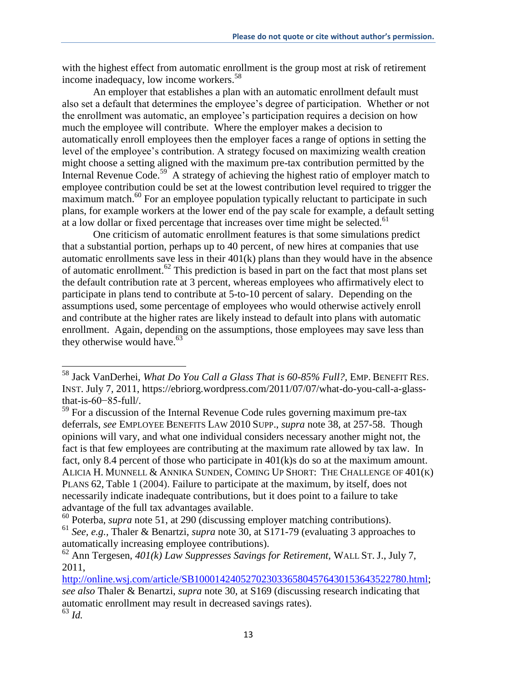with the highest effect from automatic enrollment is the group most at risk of retirement income inadequacy, low income workers.<sup>58</sup>

An employer that establishes a plan with an automatic enrollment default must also set a default that determines the employee's degree of participation. Whether or not the enrollment was automatic, an employee's participation requires a decision on how much the employee will contribute. Where the employer makes a decision to automatically enroll employees then the employer faces a range of options in setting the level of the employee's contribution. A strategy focused on maximizing wealth creation might choose a setting aligned with the maximum pre-tax contribution permitted by the Internal Revenue Code.<sup>59</sup> A strategy of achieving the highest ratio of employer match to employee contribution could be set at the lowest contribution level required to trigger the maximum match.<sup>60</sup> For an employee population typically reluctant to participate in such plans, for example workers at the lower end of the pay scale for example, a default setting at a low dollar or fixed percentage that increases over time might be selected.<sup>61</sup>

One criticism of automatic enrollment features is that some simulations predict that a substantial portion, perhaps up to 40 percent, of new hires at companies that use automatic enrollments save less in their 401(k) plans than they would have in the absence of automatic enrollment.<sup>62</sup> This prediction is based in part on the fact that most plans set the default contribution rate at 3 percent, whereas employees who affirmatively elect to participate in plans tend to contribute at 5-to-10 percent of salary. Depending on the assumptions used, some percentage of employees who would otherwise actively enroll and contribute at the higher rates are likely instead to default into plans with automatic enrollment. Again, depending on the assumptions, those employees may save less than they otherwise would have. $63$ 

l

http://online.wsj.com/article/SB10001424052702303365804576430153643522780.html;

<sup>58</sup> Jack VanDerhei, *What Do You Call a Glass That is 60-85% Full?,* EMP. BENEFIT RES. INST. July 7, 2011, https://ebriorg.wordpress.com/2011/07/07/what-do-you-call-a-glassthat-is-60−85-full/.

 $59$  For a discussion of the Internal Revenue Code rules governing maximum pre-tax deferrals, *see* EMPLOYEE BENEFITS LAW 2010 SUPP., *supra* note 38, at 257-58. Though opinions will vary, and what one individual considers necessary another might not, the fact is that few employees are contributing at the maximum rate allowed by tax law. In fact, only 8.4 percent of those who participate in 401(k)s do so at the maximum amount. ALICIA H. MUNNELL & ANNIKA SUNDEN, COMING UP SHORT: THE CHALLENGE OF 401(K) PLANS 62, Table 1 (2004). Failure to participate at the maximum, by itself, does not necessarily indicate inadequate contributions, but it does point to a failure to take advantage of the full tax advantages available.

<sup>60</sup> Poterba, *supra* note 51, at 290 (discussing employer matching contributions).

<sup>61</sup> *See, e.g.,* Thaler & Benartzi, *supra* note 30, at S171-79 (evaluating 3 approaches to automatically increasing employee contributions).

<sup>62</sup> Ann Tergesen, *401(k) Law Suppresses Savings for Retirement,* WALL ST. J., July 7, 2011,

*see also* Thaler & Benartzi, *supra* note 30, at S169 (discussing research indicating that automatic enrollment may result in decreased savings rates). <sup>63</sup> *Id.*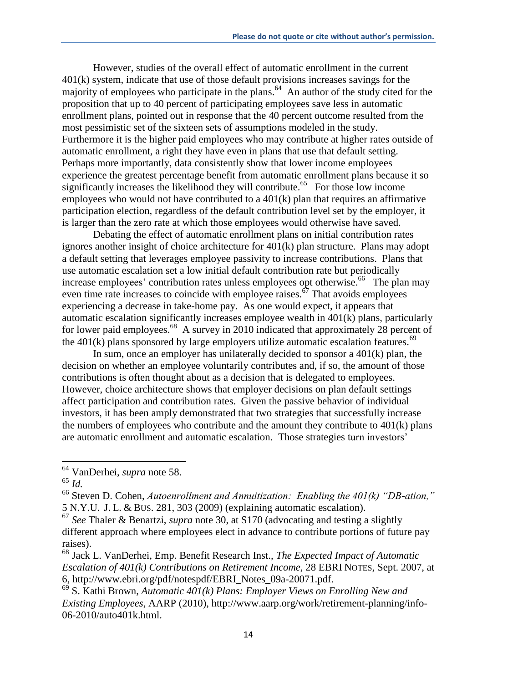However, studies of the overall effect of automatic enrollment in the current 401(k) system, indicate that use of those default provisions increases savings for the majority of employees who participate in the plans.<sup>64</sup> An author of the study cited for the proposition that up to 40 percent of participating employees save less in automatic enrollment plans, pointed out in response that the 40 percent outcome resulted from the most pessimistic set of the sixteen sets of assumptions modeled in the study. Furthermore it is the higher paid employees who may contribute at higher rates outside of automatic enrollment, a right they have even in plans that use that default setting. Perhaps more importantly, data consistently show that lower income employees experience the greatest percentage benefit from automatic enrollment plans because it so significantly increases the likelihood they will contribute. 65 For those low income employees who would not have contributed to a 401(k) plan that requires an affirmative participation election, regardless of the default contribution level set by the employer, it is larger than the zero rate at which those employees would otherwise have saved.

Debating the effect of automatic enrollment plans on initial contribution rates ignores another insight of choice architecture for 401(k) plan structure. Plans may adopt a default setting that leverages employee passivity to increase contributions. Plans that use automatic escalation set a low initial default contribution rate but periodically increase employees' contribution rates unless employees opt otherwise.<sup>66</sup> The plan may even time rate increases to coincide with employee raises. $\delta$  That avoids employees experiencing a decrease in take-home pay. As one would expect, it appears that automatic escalation significantly increases employee wealth in 401(k) plans, particularly for lower paid employees.<sup>68</sup> A survey in 2010 indicated that approximately 28 percent of the  $401(k)$  plans sponsored by large employers utilize automatic escalation features.<sup>69</sup>

In sum, once an employer has unilaterally decided to sponsor a  $401(k)$  plan, the decision on whether an employee voluntarily contributes and, if so, the amount of those contributions is often thought about as a decision that is delegated to employees. However, choice architecture shows that employer decisions on plan default settings affect participation and contribution rates. Given the passive behavior of individual investors, it has been amply demonstrated that two strategies that successfully increase the numbers of employees who contribute and the amount they contribute to  $401(k)$  plans are automatic enrollment and automatic escalation. Those strategies turn investors'

<sup>64</sup> VanDerhei, *supra* note 58.

 $65$   $\overline{Id}$ .

<sup>66</sup> Steven D. Cohen, *Autoenrollment and Annuitization: Enabling the 401(k) "DB-ation,"*  5 N.Y.U. J. L. & BUS. 281, 303 (2009) (explaining automatic escalation).

<sup>67</sup> *See* Thaler & Benartzi, *supra* note 30, at S170 (advocating and testing a slightly different approach where employees elect in advance to contribute portions of future pay raises).

<sup>68</sup> Jack L. VanDerhei, Emp. Benefit Research Inst., *The Expected Impact of Automatic Escalation of 401(k) Contributions on Retirement Income,* 28 EBRI NOTES, Sept. 2007, at 6, http://www.ebri.org/pdf/notespdf/EBRI\_Notes\_09a-20071.pdf.

<sup>69</sup> S. Kathi Brown, *Automatic 401(k) Plans: Employer Views on Enrolling New and Existing Employees*, AARP (2010), http://www.aarp.org/work/retirement-planning/info-06-2010/auto401k.html.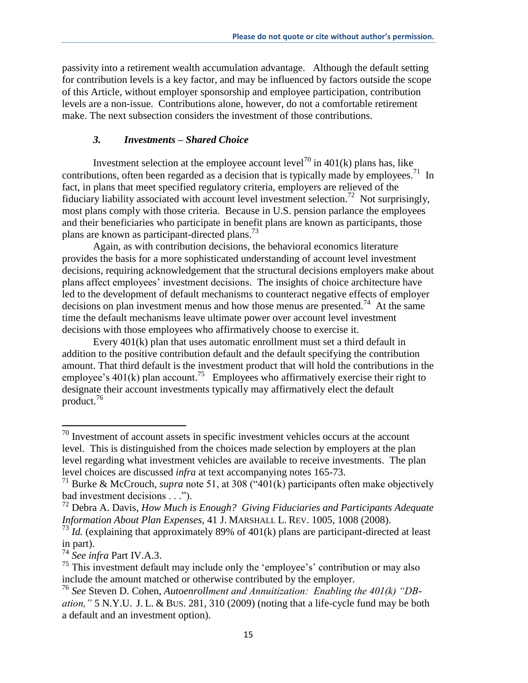passivity into a retirement wealth accumulation advantage. Although the default setting for contribution levels is a key factor, and may be influenced by factors outside the scope of this Article, without employer sponsorship and employee participation, contribution levels are a non-issue. Contributions alone, however, do not a comfortable retirement make. The next subsection considers the investment of those contributions.

#### *3. Investments – Shared Choice*

Investment selection at the employee account level<sup>70</sup> in 401(k) plans has, like contributions, often been regarded as a decision that is typically made by employees.<sup>71</sup> In fact, in plans that meet specified regulatory criteria, employers are relieved of the fiduciary liability associated with account level investment selection.<sup>72</sup> Not surprisingly, most plans comply with those criteria. Because in U.S. pension parlance the employees and their beneficiaries who participate in benefit plans are known as participants, those plans are known as participant-directed plans.<sup>73</sup>

Again, as with contribution decisions, the behavioral economics literature provides the basis for a more sophisticated understanding of account level investment decisions, requiring acknowledgement that the structural decisions employers make about plans affect employees' investment decisions. The insights of choice architecture have led to the development of default mechanisms to counteract negative effects of employer decisions on plan investment menus and how those menus are presented.<sup>74</sup> At the same time the default mechanisms leave ultimate power over account level investment decisions with those employees who affirmatively choose to exercise it.

Every 401(k) plan that uses automatic enrollment must set a third default in addition to the positive contribution default and the default specifying the contribution amount. That third default is the investment product that will hold the contributions in the employee's  $401(k)$  plan account.<sup>75</sup> Employees who affirmatively exercise their right to designate their account investments typically may affirmatively elect the default product. 76

l

 $70$  Investment of account assets in specific investment vehicles occurs at the account level. This is distinguished from the choices made selection by employers at the plan level regarding what investment vehicles are available to receive investments. The plan level choices are discussed *infra* at text accompanying notes 165-73.

<sup>&</sup>lt;sup>71</sup> Burke & McCrouch, *supra* note 51, at 308 ( $\cdot$ 401(k) participants often make objectively bad investment decisions . . .").

<sup>72</sup> Debra A. Davis, *How Much is Enough? Giving Fiduciaries and Participants Adequate Information About Plan Expenses,* 41 J. MARSHALL L. REV. 1005, 1008 (2008).

 $73 \times 73$ <sup>T</sup>*Id.* (explaining that approximately 89% of 401(k) plans are participant-directed at least in part).

<sup>74</sup> *See infra* Part IV.A.3.

<sup>&</sup>lt;sup>75</sup> This investment default may include only the 'employee's' contribution or may also include the amount matched or otherwise contributed by the employer.

<sup>76</sup> *See* Steven D. Cohen, *Autoenrollment and Annuitization: Enabling the 401(k) "DBation,"* 5 N.Y.U. J. L. & BUS. 281, 310 (2009) (noting that a life-cycle fund may be both a default and an investment option).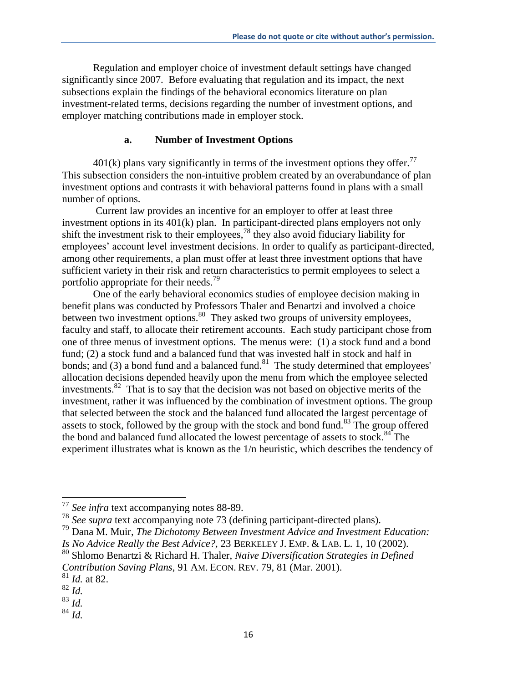Regulation and employer choice of investment default settings have changed significantly since 2007. Before evaluating that regulation and its impact, the next subsections explain the findings of the behavioral economics literature on plan investment-related terms, decisions regarding the number of investment options, and employer matching contributions made in employer stock.

## **a. Number of Investment Options**

 $401(k)$  plans vary significantly in terms of the investment options they offer.<sup>77</sup> This subsection considers the non-intuitive problem created by an overabundance of plan investment options and contrasts it with behavioral patterns found in plans with a small number of options.

Current law provides an incentive for an employer to offer at least three investment options in its 401(k) plan. In participant-directed plans employers not only shift the investment risk to their employees, <sup>78</sup> they also avoid fiduciary liability for employees' account level investment decisions. In order to qualify as participant-directed, among other requirements, a plan must offer at least three investment options that have sufficient variety in their risk and return characteristics to permit employees to select a portfolio appropriate for their needs.<sup>79</sup>

One of the early behavioral economics studies of employee decision making in benefit plans was conducted by Professors Thaler and Benartzi and involved a choice between two investment options.  $80$  They asked two groups of university employees, faculty and staff, to allocate their retirement accounts. Each study participant chose from one of three menus of investment options. The menus were: (1) a stock fund and a bond fund; (2) a stock fund and a balanced fund that was invested half in stock and half in bonds; and (3) a bond fund and a balanced fund.<sup>81</sup> The study determined that employees' allocation decisions depended heavily upon the menu from which the employee selected investments.<sup>82</sup> That is to say that the decision was not based on objective merits of the investment, rather it was influenced by the combination of investment options. The group that selected between the stock and the balanced fund allocated the largest percentage of assets to stock, followed by the group with the stock and bond fund.<sup>83</sup> The group offered the bond and balanced fund allocated the lowest percentage of assets to stock.<sup>84</sup> The experiment illustrates what is known as the 1/n heuristic, which describes the tendency of

<sup>77</sup> *See infra* text accompanying notes 88-89.

<sup>78</sup> *See supra* text accompanying note 73 (defining participant-directed plans).

<sup>79</sup> Dana M. Muir, *The Dichotomy Between Investment Advice and Investment Education: Is No Advice Really the Best Advice?,* 23 BERKELEY J. EMP. & LAB. L. 1, 10 (2002).

<sup>80</sup> Shlomo Benartzi & Richard H. Thaler, *Naive Diversification Strategies in Defined Contribution Saving Plans*, 91 AM. ECON. REV. 79, 81 (Mar. 2001).

<sup>81</sup> *Id.* at 82.

<sup>82</sup> *Id.* 

<sup>83</sup> *Id.*

<sup>84</sup> *Id.*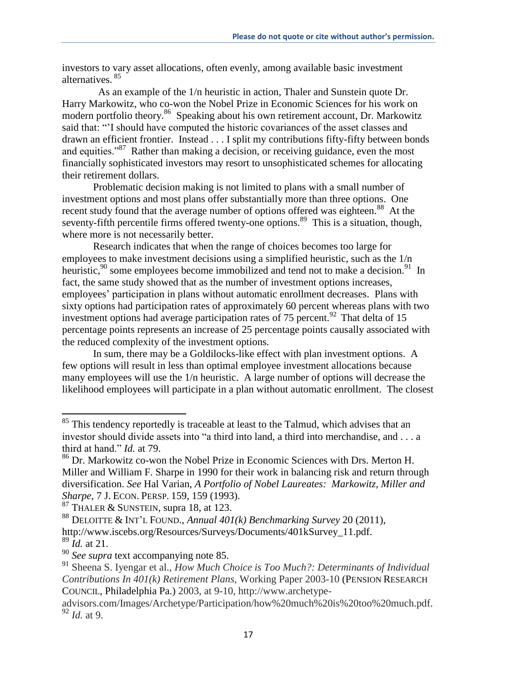investors to vary asset allocations, often evenly, among available basic investment alternatives. <sup>85</sup>

 As an example of the 1/n heuristic in action, Thaler and Sunstein quote Dr. Harry Markowitz, who co-won the Nobel Prize in Economic Sciences for his work on modern portfolio theory.<sup>86</sup> Speaking about his own retirement account, Dr. Markowitz said that: "'I should have computed the historic covariances of the asset classes and drawn an efficient frontier. Instead . . . I split my contributions fifty-fifty between bonds and equities."<sup>87</sup> Rather than making a decision, or receiving guidance, even the most financially sophisticated investors may resort to unsophisticated schemes for allocating their retirement dollars.

Problematic decision making is not limited to plans with a small number of investment options and most plans offer substantially more than three options. One recent study found that the average number of options offered was eighteen.<sup>88</sup> At the seventy-fifth percentile firms offered twenty-one options.<sup>89</sup> This is a situation, though, where more is not necessarily better.

Research indicates that when the range of choices becomes too large for employees to make investment decisions using a simplified heuristic, such as the 1/n heuristic,<sup>90</sup> some employees become immobilized and tend not to make a decision.<sup>91</sup> In fact, the same study showed that as the number of investment options increases, employees' participation in plans without automatic enrollment decreases. Plans with sixty options had participation rates of approximately 60 percent whereas plans with two investment options had average participation rates of  $75$  percent.<sup>92</sup> That delta of 15 percentage points represents an increase of 25 percentage points causally associated with the reduced complexity of the investment options.

In sum, there may be a Goldilocks-like effect with plan investment options. A few options will result in less than optimal employee investment allocations because many employees will use the 1/n heuristic. A large number of options will decrease the likelihood employees will participate in a plan without automatic enrollment. The closest

 $85$  This tendency reportedly is traceable at least to the Talmud, which advises that an investor should divide assets into "a third into land, a third into merchandise, and . . . a third at hand." *Id.* at 79.

<sup>86</sup> Dr. Markowitz co-won the Nobel Prize in Economic Sciences with Drs. Merton H. Miller and William F. Sharpe in 1990 for their work in balancing risk and return through diversification. *See* Hal Varian, *A Portfolio of Nobel Laureates: Markowitz, Miller and Sharpe,* 7 J. ECON. PERSP. 159, 159 (1993).

 $87$  THALER & SUNSTEIN, supra 18, at 123.

<sup>88</sup> DELOITTE & INT'L FOUND., *Annual 401(k) Benchmarking Survey* 20 (2011), http://www.iscebs.org/Resources/Surveys/Documents/401kSurvey\_11.pdf.

<sup>89</sup> *Id.* at 21.

<sup>90</sup> *See supra* text accompanying note 85.

<sup>91</sup> Sheena S. Iyengar et al., *How Much Choice is Too Much?: Determinants of Individual Contributions In 401(k) Retirement Plans,* Working Paper 2003-10 (PENSION RESEARCH COUNCIL, Philadelphia Pa.) 2003, at 9-10, http://www.archetype-

advisors.com/Images/Archetype/Participation/how%20much%20is%20too%20much.pdf. <sup>92</sup> *Id.* at 9.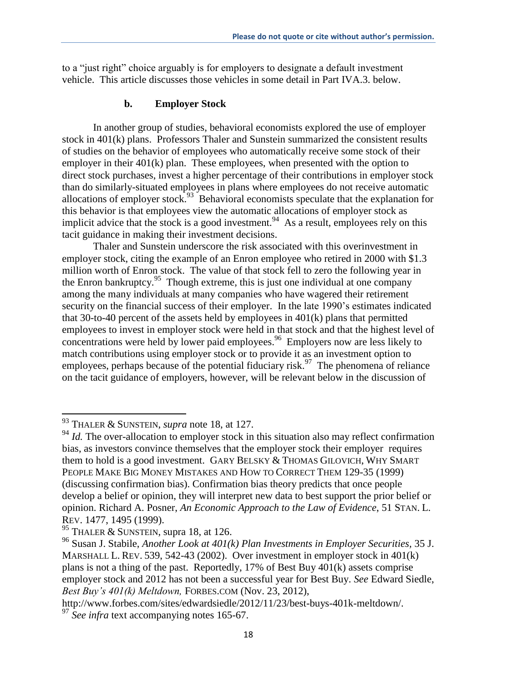to a "just right" choice arguably is for employers to designate a default investment vehicle. This article discusses those vehicles in some detail in Part IVA.3. below.

## **b. Employer Stock**

In another group of studies, behavioral economists explored the use of employer stock in 401(k) plans. Professors Thaler and Sunstein summarized the consistent results of studies on the behavior of employees who automatically receive some stock of their employer in their 401(k) plan. These employees, when presented with the option to direct stock purchases, invest a higher percentage of their contributions in employer stock than do similarly-situated employees in plans where employees do not receive automatic allocations of employer stock.<sup>93</sup> Behavioral economists speculate that the explanation for this behavior is that employees view the automatic allocations of employer stock as implicit advice that the stock is a good investment.<sup>94</sup> As a result, employees rely on this tacit guidance in making their investment decisions.

Thaler and Sunstein underscore the risk associated with this overinvestment in employer stock, citing the example of an Enron employee who retired in 2000 with \$1.3 million worth of Enron stock. The value of that stock fell to zero the following year in the Enron bankruptcy.<sup>95</sup> Though extreme, this is just one individual at one company among the many individuals at many companies who have wagered their retirement security on the financial success of their employer. In the late 1990's estimates indicated that 30-to-40 percent of the assets held by employees in 401(k) plans that permitted employees to invest in employer stock were held in that stock and that the highest level of concentrations were held by lower paid employees. 96 Employers now are less likely to match contributions using employer stock or to provide it as an investment option to employees, perhaps because of the potential fiduciary risk.<sup>97</sup> The phenomena of reliance on the tacit guidance of employers, however, will be relevant below in the discussion of

<sup>93</sup> THALER & SUNSTEIN, *supra* note 18, at 127.

<sup>&</sup>lt;sup>94</sup> *Id.* The over-allocation to employer stock in this situation also may reflect confirmation bias, as investors convince themselves that the employer stock their employer requires them to hold is a good investment. GARY BELSKY & THOMAS GILOVICH, WHY SMART PEOPLE MAKE BIG MONEY MISTAKES AND HOW TO CORRECT THEM 129-35 (1999) (discussing confirmation bias). Confirmation bias theory predicts that once people develop a belief or opinion, they will interpret new data to best support the prior belief or opinion. Richard A. Posner, *An Economic Approach to the Law of Evidence*, 51 STAN. L. REV. 1477, 1495 (1999).

<sup>&</sup>lt;sup>95</sup> THALER & SUNSTEIN, supra 18, at 126.

<sup>96</sup> Susan J. Stabile, *Another Look at 401(k) Plan Investments in Employer Securities,* 35 J. MARSHALL L. REV. 539, 542-43 (2002). Over investment in employer stock in 401(k) plans is not a thing of the past. Reportedly, 17% of Best Buy 401(k) assets comprise employer stock and 2012 has not been a successful year for Best Buy. *See* Edward Siedle, *Best Buy's 401(k) Meltdown,* FORBES.COM (Nov. 23, 2012),

http://www.forbes.com/sites/edwardsiedle/2012/11/23/best-buys-401k-meltdown/. <sup>97</sup> See infra text accompanying notes 165-67.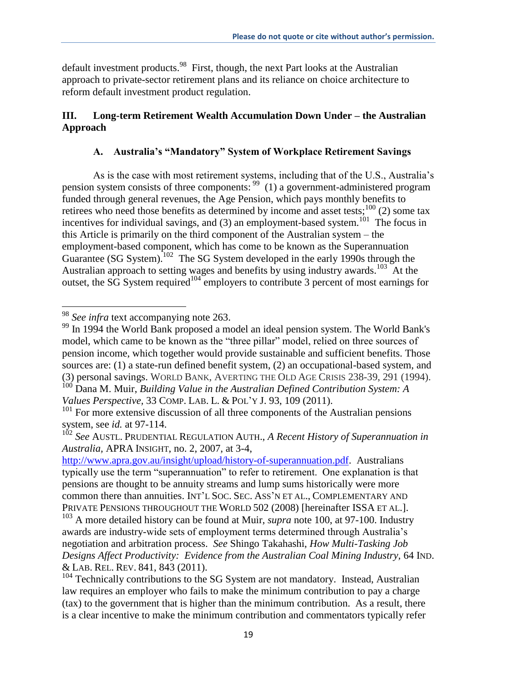default investment products.<sup>98</sup> First, though, the next Part looks at the Australian approach to private-sector retirement plans and its reliance on choice architecture to reform default investment product regulation.

# **III. Long-term Retirement Wealth Accumulation Down Under – the Australian Approach**

# **A. Australia's "Mandatory" System of Workplace Retirement Savings**

As is the case with most retirement systems, including that of the U.S., Australia's pension system consists of three components: <sup>99</sup> (1) a government-administered program funded through general revenues, the Age Pension, which pays monthly benefits to retirees who need those benefits as determined by income and asset tests;<sup>100</sup> (2) some tax incentives for individual savings, and  $(3)$  an employment-based system.<sup>101</sup> The focus in this Article is primarily on the third component of the Australian system – the employment-based component, which has come to be known as the Superannuation Guarantee (SG System).<sup>102</sup> The SG System developed in the early 1990s through the Australian approach to setting wages and benefits by using industry awards.<sup>103</sup> At the outset, the SG System required<sup>104</sup> employers to contribute 3 percent of most earnings for

l

<sup>98</sup> *See infra* text accompanying note 263.

<sup>&</sup>lt;sup>99</sup> In 1994 the World Bank proposed a model an ideal pension system. The World Bank's model, which came to be known as the "three pillar" model, relied on three sources of pension income, which together would provide sustainable and sufficient benefits. Those sources are: (1) a state-run defined benefit system, (2) an occupational-based system, and (3) personal savings. WORLD BANK, AVERTING THE OLD AGE CRISIS 238-39, 291 (1994).

<sup>100</sup> Dana M. Muir, *Building Value in the Australian Defined Contribution System: A Values Perspective,* 33 COMP. LAB. L. & POL'Y J. 93, 109 (2011).

<sup>&</sup>lt;sup>101</sup> For more extensive discussion of all three components of the Australian pensions system, see *id.* at 97-114.

<sup>102</sup> *See* AUSTL. PRUDENTIAL REGULATION AUTH., *A Recent History of Superannuation in Australia,* APRA INSIGHT, no. 2, 2007, at 3-4,

[http://www.apra.gov.au/insight/upload/history-of-superannuation.pdf.](http://www.apra.gov.au/insight/upload/history-of-superannuation.pdf) Australians typically use the term "superannuation" to refer to retirement. One explanation is that pensions are thought to be annuity streams and lump sums historically were more common there than annuities. INT'L SOC. SEC. ASS'N ET AL., COMPLEMENTARY AND PRIVATE PENSIONS THROUGHOUT THE WORLD 502 (2008) [hereinafter ISSA ET AL.].

<sup>103</sup> A more detailed history can be found at Muir, *supra* note 100, at 97-100. Industry awards are industry-wide sets of employment terms determined through Australia's negotiation and arbitration process. *See* Shingo Takahashi, *How Multi-Tasking Job Designs Affect Productivity: Evidence from the Australian Coal Mining Industry,* 64 IND. & LAB. REL. REV. 841, 843 (2011).

 $104$  Technically contributions to the SG System are not mandatory. Instead, Australian law requires an employer who fails to make the minimum contribution to pay a charge (tax) to the government that is higher than the minimum contribution. As a result, there is a clear incentive to make the minimum contribution and commentators typically refer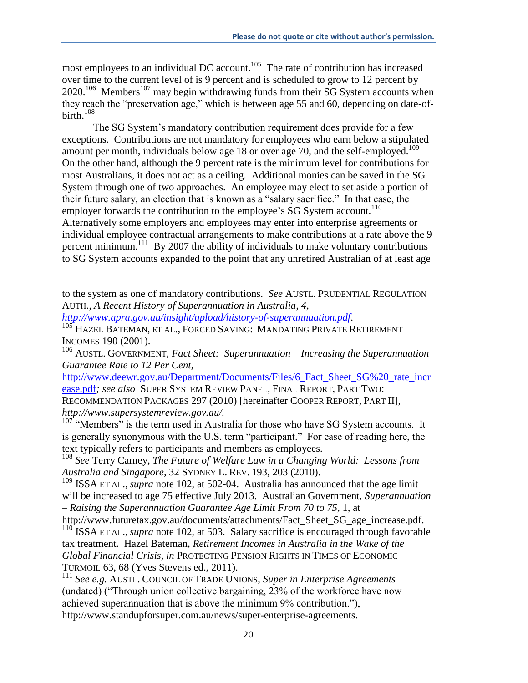most employees to an individual DC account.<sup>105</sup> The rate of contribution has increased over time to the current level of is 9 percent and is scheduled to grow to 12 percent by  $2020$ <sup>106</sup> Members<sup>107</sup> may begin withdrawing funds from their SG System accounts when they reach the "preservation age," which is between age 55 and 60, depending on date-ofbirth.<sup>108</sup>

The SG System's mandatory contribution requirement does provide for a few exceptions. Contributions are not mandatory for employees who earn below a stipulated amount per month, individuals below age 18 or over age 70, and the self-employed.<sup>109</sup> On the other hand, although the 9 percent rate is the minimum level for contributions for most Australians, it does not act as a ceiling. Additional monies can be saved in the SG System through one of two approaches. An employee may elect to set aside a portion of their future salary, an election that is known as a "salary sacrifice." In that case, the employer forwards the contribution to the employee's  $SG$  System account.<sup>110</sup> Alternatively some employers and employees may enter into enterprise agreements or individual employee contractual arrangements to make contributions at a rate above the 9 percent minimum.<sup>111</sup> By 2007 the ability of individuals to make voluntary contributions to SG System accounts expanded to the point that any unretired Australian of at least age

to the system as one of mandatory contributions. *See* AUSTL. PRUDENTIAL REGULATION AUTH.*, A Recent History of Superannuation in Australia, 4,*

*http://www.apra.gov.au/insight/upload/history-of-superannuation.pdf*.

 $\overline{\phantom{a}}$ 

 $\overline{105}$  Hazel Bateman, et al., Forced Saving: Mandating Private Retirement INCOMES 190 (2001).

<sup>106</sup> AUSTL. GOVERNMENT, *Fact Sheet: Superannuation – Increasing the Superannuation Guarantee Rate to 12 Per Cent,* 

http://www.deewr.gov.au/Department/Documents/Files/6 Fact Sheet SG%20 rate incr ease.pdf*; see also* SUPER SYSTEM REVIEW PANEL, FINAL REPORT, PART TWO: RECOMMENDATION PACKAGES 297 (2010) [hereinafter COOPER REPORT, PART II], *http://www.supersystemreview.gov.au/.*

 $107$  "Members" is the term used in Australia for those who have SG System accounts. It is generally synonymous with the U.S. term "participant." For ease of reading here, the text typically refers to participants and members as employees.

<sup>108</sup> *See* Terry Carney, *The Future of Welfare Law in a Changing World: Lessons from Australia and Singapore,* 32 SYDNEY L. REV. 193, 203 (2010).

<sup>109</sup> ISSA ET AL., *supra* note 102, at 502-04. Australia has announced that the age limit will be increased to age 75 effective July 2013. Australian Government, *Superannuation – Raising the Superannuation Guarantee Age Limit From 70 to 75,* 1, at

http://www.futuretax.gov.au/documents/attachments/Fact\_Sheet\_SG\_age\_increase.pdf. <sup>110</sup> ISSA ET AL., *supra* note 102, at 503. Salary sacrifice is encouraged through favorable tax treatment. Hazel Bateman, *Retirement Incomes in Australia in the Wake of the* 

*Global Financial Crisis, in* PROTECTING PENSION RIGHTS IN TIMES OF ECONOMIC TURMOIL 63, 68 (Yves Stevens ed., 2011).

<sup>111</sup> *See e.g.* AUSTL. COUNCIL OF TRADE UNIONS, *Super in Enterprise Agreements*  (undated) ("Through union collective bargaining, 23% of the workforce have now achieved superannuation that is above the minimum 9% contribution."), http://www.standupforsuper.com.au/news/super-enterprise-agreements.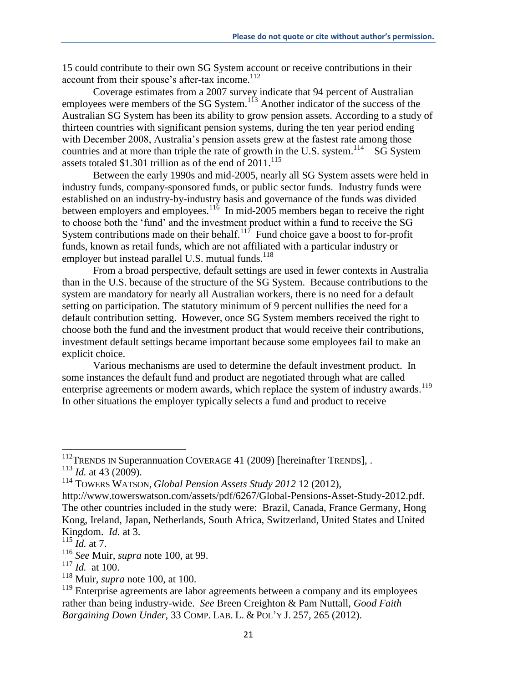15 could contribute to their own SG System account or receive contributions in their account from their spouse's after-tax income.<sup>112</sup>

Coverage estimates from a 2007 survey indicate that 94 percent of Australian employees were members of the SG System.<sup>113</sup> Another indicator of the success of the Australian SG System has been its ability to grow pension assets. According to a study of thirteen countries with significant pension systems, during the ten year period ending with December 2008, Australia's pension assets grew at the fastest rate among those countries and at more than triple the rate of growth in the U.S. system.<sup>114</sup> SG System assets totaled \$1.301 trillion as of the end of 2011.<sup>115</sup>

Between the early 1990s and mid-2005, nearly all SG System assets were held in industry funds, company-sponsored funds, or public sector funds. Industry funds were established on an industry-by-industry basis and governance of the funds was divided between employers and employees.<sup>116</sup> In mid-2005 members began to receive the right to choose both the 'fund' and the investment product within a fund to receive the SG System contributions made on their behalf. $117$  Fund choice gave a boost to for-profit funds, known as retail funds, which are not affiliated with a particular industry or employer but instead parallel U.S. mutual funds.<sup>118</sup>

From a broad perspective, default settings are used in fewer contexts in Australia than in the U.S. because of the structure of the SG System. Because contributions to the system are mandatory for nearly all Australian workers, there is no need for a default setting on participation. The statutory minimum of 9 percent nullifies the need for a default contribution setting. However, once SG System members received the right to choose both the fund and the investment product that would receive their contributions, investment default settings became important because some employees fail to make an explicit choice.

Various mechanisms are used to determine the default investment product. In some instances the default fund and product are negotiated through what are called enterprise agreements or modern awards, which replace the system of industry awards.<sup>119</sup> In other situations the employer typically selects a fund and product to receive

 $112$ TRENDS IN Superannuation COVERAGE 41 (2009) [hereinafter TRENDS], .

<sup>113</sup> *Id.* at 43 (2009).

<sup>114</sup> TOWERS WATSON, *Global Pension Assets Study 2012* 12 (2012),

http://www.towerswatson.com/assets/pdf/6267/Global-Pensions-Asset-Study-2012.pdf. The other countries included in the study were: Brazil, Canada, France Germany, Hong Kong, Ireland, Japan, Netherlands, South Africa, Switzerland, United States and United Kingdom. *Id.* at 3.

 $\frac{115}{115}$  *Id.* at 7.

<sup>116</sup> *See* Muir, *supra* note 100, at 99.

<sup>117</sup> *Id.* at 100.

<sup>118</sup> Muir, *supra* note 100, at 100.

 $119$  Enterprise agreements are labor agreements between a company and its employees rather than being industry-wide. *See* Breen Creighton & Pam Nuttall, *Good Faith Bargaining Down Under,* 33 COMP. LAB. L. & POL'Y J. 257, 265 (2012).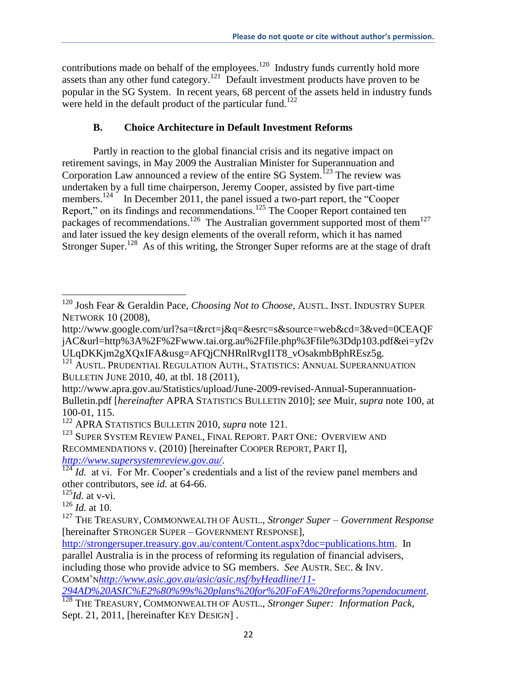contributions made on behalf of the employees. $120$  Industry funds currently hold more assets than any other fund category.<sup>121</sup> Default investment products have proven to be popular in the SG System. In recent years, 68 percent of the assets held in industry funds were held in the default product of the particular fund.<sup>122</sup>

# **B. Choice Architecture in Default Investment Reforms**

Partly in reaction to the global financial crisis and its negative impact on retirement savings, in May 2009 the Australian Minister for Superannuation and Corporation Law announced a review of the entire SG System.<sup>123</sup> The review was undertaken by a full time chairperson, Jeremy Cooper, assisted by five part-time members.<sup>124</sup> In December 2011, the panel issued a two-part report, the "Cooper" Report," on its findings and recommendations.<sup>125</sup> The Cooper Report contained ten packages of recommendations.<sup>126</sup> The Australian government supported most of them<sup>127</sup> and later issued the key design elements of the overall reform, which it has named Stronger Super.<sup>128</sup> As of this writing, the Stronger Super reforms are at the stage of draft

 $\overline{\phantom{a}}$ <sup>120</sup> Josh Fear & Geraldin Pace, *Choosing Not to Choose,* AUSTL. INST. INDUSTRY SUPER NETWORK 10 (2008),

http://www.google.com/url?sa=t&rct=j&q=&esrc=s&source=web&cd=3&ved=0CEAQF jAC&url=http%3A%2F%2Fwww.tai.org.au%2Ffile.php%3Ffile%3Ddp103.pdf&ei=yf2v ULqDKKjm2gXQxIFA&usg=AFQjCNHRnlRvgI1T8\_vOsakmbBphREsz5g.

<sup>&</sup>lt;sup>121</sup> AUSTL. PRUDENTIAL REGULATION AUTH., STATISTICS: ANNUAL SUPERANNUATION BULLETIN JUNE 2010, 40, at tbl. 18 (2011),

http://www.apra.gov.au/Statistics/upload/June-2009-revised-Annual-Superannuation-Bulletin.pdf [*hereinafter* APRA STATISTICS BULLETIN 2010]; *see* Muir, *supra* note 100, at 100-01, 115.

<sup>122</sup> APRA STATISTICS BULLETIN 2010, *supra* note 121.

<sup>&</sup>lt;sup>123</sup> SUPER SYSTEM REVIEW PANEL, FINAL REPORT. PART ONE: OVERVIEW AND RECOMMENDATIONS v. (2010) [hereinafter COOPER REPORT, PART I],

*http://www.supersystemreview.gov.au/*.

<sup>&</sup>lt;sup>124</sup> *Id.* at vi. For Mr. Cooper's credentials and a list of the review panel members and other contributors, see *id.* at 64-66.

<sup>125</sup>*Id.* at v-vi.

 $^{126}$  *Id.* at 10.

<sup>127</sup> THE TREASURY, COMMONWEALTH OF AUSTL., *Stronger Super – Government Response*  [hereinafter STRONGER SUPER – GOVERNMENT RESPONSE],

http://strongersuper.treasury.gov.au/content/Content.aspx?doc=publications.htm. In parallel Australia is in the process of reforming its regulation of financial advisers, including those who provide advice to SG members. *See* AUSTR. SEC. & INV. COMM'N*http://www.asic.gov.au/asic/asic.nsf/byHeadline/11-*

*<sup>294</sup>AD%20ASIC%E2%80%99s%20plans%20for%20FoFA%20reforms?opendocument.* 

<sup>&</sup>lt;sup>128</sup> THE TREASURY, COMMONWEALTH OF AUSTL., *Stronger Super: Information Pack*, Sept. 21, 2011, [hereinafter KEY DESIGN].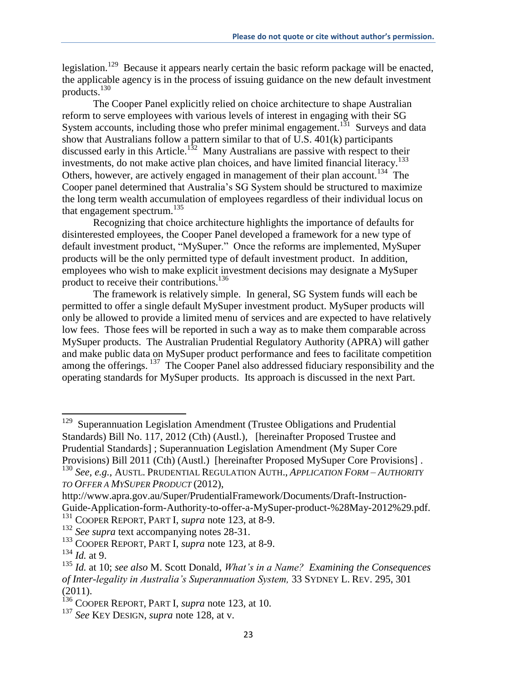legislation.<sup>129</sup> Because it appears nearly certain the basic reform package will be enacted, the applicable agency is in the process of issuing guidance on the new default investment products. 130

The Cooper Panel explicitly relied on choice architecture to shape Australian reform to serve employees with various levels of interest in engaging with their SG System accounts, including those who prefer minimal engagement.<sup>131</sup> Surveys and data show that Australians follow a pattern similar to that of U.S.  $401(k)$  participants discussed early in this Article.<sup>132</sup> Many Australians are passive with respect to their investments, do not make active plan choices, and have limited financial literacy.<sup>133</sup> Others, however, are actively engaged in management of their plan account.<sup>134</sup> The Cooper panel determined that Australia's SG System should be structured to maximize the long term wealth accumulation of employees regardless of their individual locus on that engagement spectrum. $^{135}$ 

Recognizing that choice architecture highlights the importance of defaults for disinterested employees, the Cooper Panel developed a framework for a new type of default investment product, "MySuper." Once the reforms are implemented, MySuper products will be the only permitted type of default investment product. In addition, employees who wish to make explicit investment decisions may designate a MySuper product to receive their contributions.<sup>136</sup>

The framework is relatively simple. In general, SG System funds will each be permitted to offer a single default MySuper investment product. MySuper products will only be allowed to provide a limited menu of services and are expected to have relatively low fees. Those fees will be reported in such a way as to make them comparable across MySuper products. The Australian Prudential Regulatory Authority (APRA) will gather and make public data on MySuper product performance and fees to facilitate competition among the offerings. <sup>137</sup> The Cooper Panel also addressed fiduciary responsibility and the operating standards for MySuper products. Its approach is discussed in the next Part.

<sup>&</sup>lt;sup>129</sup> Superannuation Legislation Amendment (Trustee Obligations and Prudential Standards) Bill No. 117, 2012 (Cth) (Austl.)*,* [hereinafter Proposed Trustee and Prudential Standards] ; Superannuation Legislation Amendment (My Super Core Provisions) Bill 2011 (Cth) (Austl.) [hereinafter Proposed MySuper Core Provisions] .

<sup>130</sup> *See, e.g.,* AUSTL. PRUDENTIAL REGULATION AUTH., *APPLICATION FORM – AUTHORITY TO OFFER A MYSUPER PRODUCT* (2012),

http://www.apra.gov.au/Super/PrudentialFramework/Documents/Draft-Instruction-Guide-Application-form-Authority-to-offer-a-MySuper-product-%28May-2012%29.pdf. <sup>131</sup> COOPER REPORT, PART I, *supra* note 123, at 8-9.

<sup>132</sup> *See supra* text accompanying notes 28-31.

<sup>133</sup> COOPER REPORT, PART I, *supra* note 123, at 8-9.

<sup>134</sup> *Id.* at 9.

<sup>135</sup> *Id.* at 10; *see also* M. Scott Donald, *What's in a Name? Examining the Consequences of Inter-legality in Australia's Superannuation System,* 33 SYDNEY L. REV. 295, 301  $(2011).$ 

<sup>136</sup> COOPER REPORT, PART I, *supra* note 123, at 10.

<sup>137</sup> *See* KEY DESIGN, *supra* note 128, at v.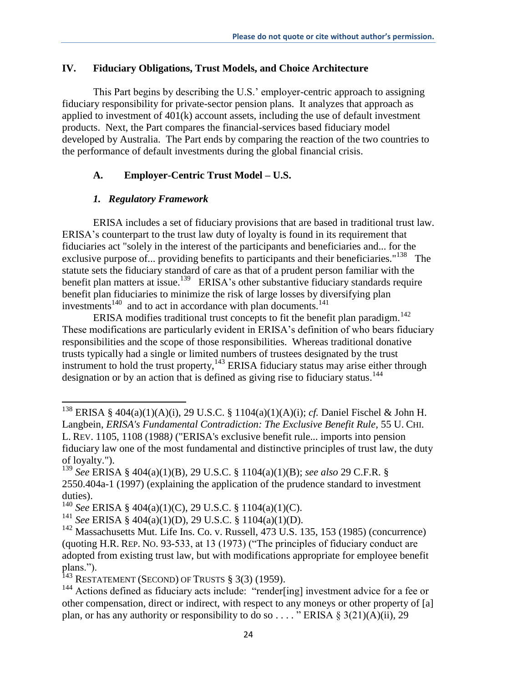### **IV. Fiduciary Obligations, Trust Models, and Choice Architecture**

This Part begins by describing the U.S.' employer-centric approach to assigning fiduciary responsibility for private-sector pension plans. It analyzes that approach as applied to investment of 401(k) account assets, including the use of default investment products. Next, the Part compares the financial-services based fiduciary model developed by Australia. The Part ends by comparing the reaction of the two countries to the performance of default investments during the global financial crisis.

## **A. Employer-Centric Trust Model – U.S.**

## *1. Regulatory Framework*

 $\overline{\phantom{a}}$ 

ERISA includes a set of fiduciary provisions that are based in traditional trust law. ERISA's counterpart to the trust law duty of loyalty is found in its requirement that fiduciaries act "solely in the interest of the participants and beneficiaries and... for the exclusive purpose of... providing benefits to participants and their beneficiaries."<sup>138</sup> The statute sets the fiduciary standard of care as that of a prudent person familiar with the benefit plan matters at issue.<sup>139</sup> ERISA's other substantive fiduciary standards require benefit plan fiduciaries to minimize the risk of large losses by diversifying plan investments<sup>140</sup> and to act in accordance with plan documents.<sup>141</sup>

ERISA modifies traditional trust concepts to fit the benefit plan paradigm.<sup>142</sup> These modifications are particularly evident in ERISA's definition of who bears fiduciary responsibilities and the scope of those responsibilities. Whereas traditional donative trusts typically had a single or limited numbers of trustees designated by the trust instrument to hold the trust property,  $143$  ERISA fiduciary status may arise either through designation or by an action that is defined as giving rise to fiduciary status.<sup>144</sup>

<sup>138</sup> ERISA § 404(a)(1)(A)(i), 29 U.S.C. § 1104(a)(1)(A)(i); *cf.* Daniel Fischel & John H. Langbein, *ERISA's Fundamental Contradiction: The Exclusive Benefit Rule,* 55 U. CHI. L. REV. 1105, 1108 (1988*)* ("ERISA's exclusive benefit rule... imports into pension fiduciary law one of the most fundamental and distinctive principles of trust law, the duty of loyalty.").

<sup>139</sup> *See* ERISA § 404(a)(1)(B), 29 U.S.C. § 1104(a)(1)(B); *see also* 29 C.F.R. § 2550.404a-1 (1997) (explaining the application of the prudence standard to investment duties).

<sup>140</sup> *See* ERISA § 404(a)(1)(C), 29 U.S.C. § 1104(a)(1)(C).

<sup>141</sup> *See* ERISA § 404(a)(1)(D), 29 U.S.C. § 1104(a)(1)(D).

 $142$  Massachusetts Mut. Life Ins. Co. v. Russell,  $473$  U.S. 135, 153 (1985) (concurrence) (quoting H.R. REP. NO. 93-533, at 13 (1973) ("The principles of fiduciary conduct are adopted from existing trust law, but with modifications appropriate for employee benefit plans.").

<sup>&</sup>lt;sup>143</sup> RESTATEMENT (SECOND) OF TRUSTS  $\S$  3(3) (1959).

<sup>&</sup>lt;sup>144</sup> Actions defined as fiduciary acts include: "render[ing] investment advice for a fee or other compensation, direct or indirect, with respect to any moneys or other property of [a] plan, or has any authority or responsibility to do so . . . . " ERISA § 3(21)(A)(ii), 29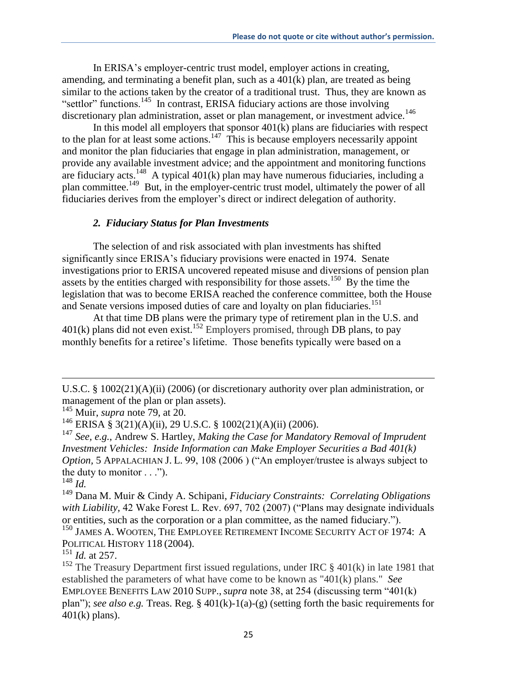In ERISA's employer-centric trust model, employer actions in creating, amending, and terminating a benefit plan, such as a 401(k) plan, are treated as being similar to the actions taken by the creator of a traditional trust. Thus, they are known as "settlor" functions.<sup>145</sup> In contrast, ERISA fiduciary actions are those involving discretionary plan administration, asset or plan management, or investment advice.<sup>146</sup>

In this model all employers that sponsor  $401(k)$  plans are fiduciaries with respect to the plan for at least some actions.<sup>147</sup> This is because employers necessarily appoint and monitor the plan fiduciaries that engage in plan administration, management, or provide any available investment advice; and the appointment and monitoring functions are fiduciary acts.<sup>148</sup> A typical  $401(k)$  plan may have numerous fiduciaries, including a plan committee.<sup>149</sup> But, in the employer-centric trust model, ultimately the power of all fiduciaries derives from the employer's direct or indirect delegation of authority.

### *2. Fiduciary Status for Plan Investments*

The selection of and risk associated with plan investments has shifted significantly since ERISA's fiduciary provisions were enacted in 1974. Senate investigations prior to ERISA uncovered repeated misuse and diversions of pension plan assets by the entities charged with responsibility for those assets.<sup>150</sup> By the time the legislation that was to become ERISA reached the conference committee, both the House and Senate versions imposed duties of care and loyalty on plan fiduciaries.<sup>151</sup>

At that time DB plans were the primary type of retirement plan in the U.S. and  $401(k)$  plans did not even exist.<sup>152</sup> Employers promised, through DB plans, to pay monthly benefits for a retiree's lifetime. Those benefits typically were based on a

U.S.C. § 1002(21)(A)(ii) (2006) (or discretionary authority over plan administration, or management of the plan or plan assets).

<sup>145</sup> Muir, *supra* note 79, at 20.

<sup>&</sup>lt;sup>146</sup> ERISA § 3(21)(A)(ii), 29 U.S.C. § 1002(21)(A)(ii) (2006).

<sup>147</sup> *See, e.g.*, Andrew S. Hartley, *Making the Case for Mandatory Removal of Imprudent Investment Vehicles: Inside Information can Make Employer Securities a Bad 401(k) Option,* 5 APPALACHIAN J. L. 99, 108 (2006 ) ("An employer/trustee is always subject to the duty to monitor  $\ldots$ ").

 $^{148}$  *Id.* 

<sup>149</sup> Dana M. Muir & Cindy A. Schipani, *Fiduciary Constraints: Correlating Obligations with Liability,* 42 Wake Forest L. Rev. 697, 702 (2007) ("Plans may designate individuals or entities, such as the corporation or a plan committee, as the named fiduciary.").

<sup>150</sup> JAMES A. WOOTEN, THE EMPLOYEE RETIREMENT INCOME SECURITY ACT OF 1974: A POLITICAL HISTORY 118 (2004).

<sup>151</sup> *Id.* at 257.

<sup>&</sup>lt;sup>152</sup> The Treasury Department first issued regulations, under IRC § 401(k) in late 1981 that established the parameters of what have come to be known as "401(k) plans." *See*  EMPLOYEE BENEFITS LAW 2010 SUPP., *supra* note 38, at 254 (discussing term "401(k) plan"); *see also e.g.* Treas. Reg. § 401(k)-1(a)-(g) (setting forth the basic requirements for 401(k) plans).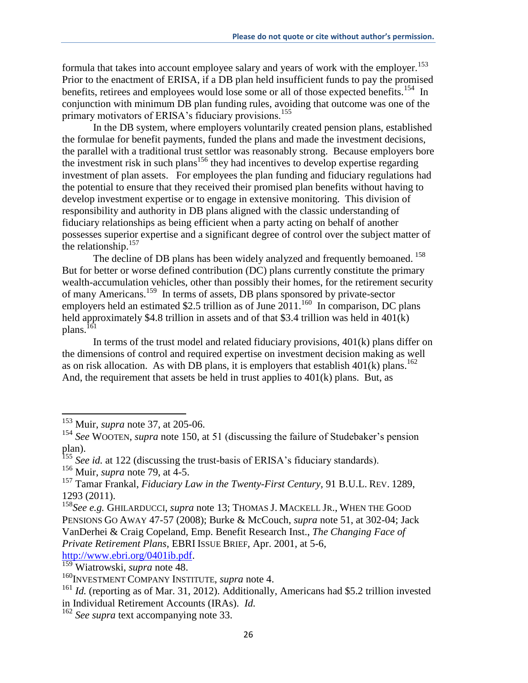formula that takes into account employee salary and years of work with the employer.<sup>153</sup> Prior to the enactment of ERISA, if a DB plan held insufficient funds to pay the promised benefits, retirees and employees would lose some or all of those expected benefits.<sup>154</sup> In conjunction with minimum DB plan funding rules, avoiding that outcome was one of the primary motivators of ERISA's fiduciary provisions.<sup>155</sup>

In the DB system, where employers voluntarily created pension plans, established the formulae for benefit payments, funded the plans and made the investment decisions, the parallel with a traditional trust settlor was reasonably strong. Because employers bore the investment risk in such plans<sup>156</sup> they had incentives to develop expertise regarding investment of plan assets. For employees the plan funding and fiduciary regulations had the potential to ensure that they received their promised plan benefits without having to develop investment expertise or to engage in extensive monitoring. This division of responsibility and authority in DB plans aligned with the classic understanding of fiduciary relationships as being efficient when a party acting on behalf of another possesses superior expertise and a significant degree of control over the subject matter of the relationship.<sup>157</sup>

The decline of DB plans has been widely analyzed and frequently bemoaned.<sup>158</sup> But for better or worse defined contribution (DC) plans currently constitute the primary wealth-accumulation vehicles, other than possibly their homes, for the retirement security of many Americans. 159 In terms of assets, DB plans sponsored by private-sector employers held an estimated \$2.5 trillion as of June  $2011$ .<sup>160</sup> In comparison, DC plans held approximately \$4.8 trillion in assets and of that \$3.4 trillion was held in 401(k)  $plans.<sup>161</sup>$ 

In terms of the trust model and related fiduciary provisions, 401(k) plans differ on the dimensions of control and required expertise on investment decision making as well as on risk allocation. As with DB plans, it is employers that establish 401(k) plans.<sup>162</sup> And, the requirement that assets be held in trust applies to 401(k) plans. But, as

<sup>153</sup> Muir, *supra* note 37, at 205-06.

<sup>154</sup> *See* WOOTEN, *supra* note 150, at 51 (discussing the failure of Studebaker's pension plan).

<sup>&</sup>lt;sup>155</sup> See id. at 122 (discussing the trust-basis of ERISA's fiduciary standards).

<sup>&</sup>lt;sup>156</sup> Muir, *supra* note 79, at 4-5.

<sup>157</sup> Tamar Frankal, *Fiduciary Law in the Twenty-First Century,* 91 B.U.L. REV. 1289, 1293 (2011).

<sup>&</sup>lt;sup>158</sup>See e.g. GHILARDUCCI, *supra* note 13; THOMAS J. MACKELL JR., WHEN THE GOOD PENSIONS GO AWAY 47-57 (2008); Burke & McCouch, *supra* note 51, at 302-04; Jack VanDerhei & Craig Copeland, Emp. Benefit Research Inst., *The Changing Face of Private Retirement Plans,* EBRI ISSUE BRIEF, Apr. 2001, at 5-6, http://www.ebri.org/0401ib.pdf.

<sup>159</sup> Wiatrowski, *supra* note 48.

<sup>160</sup>INVESTMENT COMPANY INSTITUTE, *supra* note 4.

<sup>&</sup>lt;sup>161</sup> *Id.* (reporting as of Mar. 31, 2012). Additionally, Americans had \$5.2 trillion invested in Individual Retirement Accounts (IRAs). *Id.* 

<sup>162</sup> *See supra* text accompanying note 33.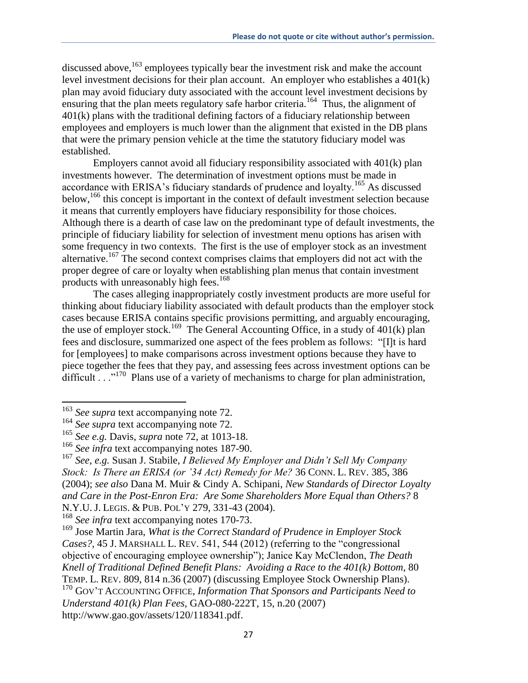discussed above,  $163$  employees typically bear the investment risk and make the account level investment decisions for their plan account. An employer who establishes a 401(k) plan may avoid fiduciary duty associated with the account level investment decisions by ensuring that the plan meets regulatory safe harbor criteria.<sup>164</sup> Thus, the alignment of 401(k) plans with the traditional defining factors of a fiduciary relationship between employees and employers is much lower than the alignment that existed in the DB plans that were the primary pension vehicle at the time the statutory fiduciary model was established.

Employers cannot avoid all fiduciary responsibility associated with 401(k) plan investments however. The determination of investment options must be made in accordance with ERISA's fiduciary standards of prudence and loyalty.<sup>165</sup> As discussed below,<sup>166</sup> this concept is important in the context of default investment selection because it means that currently employers have fiduciary responsibility for those choices. Although there is a dearth of case law on the predominant type of default investments, the principle of fiduciary liability for selection of investment menu options has arisen with some frequency in two contexts. The first is the use of employer stock as an investment alternative.<sup>167</sup> The second context comprises claims that employers did not act with the proper degree of care or loyalty when establishing plan menus that contain investment products with unreasonably high fees.<sup>168</sup>

The cases alleging inappropriately costly investment products are more useful for thinking about fiduciary liability associated with default products than the employer stock cases because ERISA contains specific provisions permitting, and arguably encouraging, the use of employer stock.<sup>169</sup> The General Accounting Office, in a study of  $401(k)$  plan fees and disclosure, summarized one aspect of the fees problem as follows: "[I]t is hard for [employees] to make comparisons across investment options because they have to piece together the fees that they pay, and assessing fees across investment options can be difficult  $\ldots$ <sup>170</sup> Plans use of a variety of mechanisms to charge for plan administration,

 $\overline{\phantom{a}}$ 

<sup>168</sup> *See infra* text accompanying notes 170-73.

<sup>&</sup>lt;sup>163</sup> See supra text accompanying note 72.

<sup>164</sup> *See supra* text accompanying note 72.

<sup>165</sup> *See e.g.* Davis, *supra* note 72, at 1013-18.

<sup>&</sup>lt;sup>166</sup> See infra text accompanying notes 187-90.

<sup>167</sup> *See, e.g.* Susan J. Stabile, *I Believed My Employer and Didn't Sell My Company Stock: Is There an ERISA (or '34 Act) Remedy for Me?* 36 CONN. L. REV. 385, 386 (2004); *see also* Dana M. Muir & Cindy A. Schipani, *New Standards of Director Loyalty and Care in the Post-Enron Era: Are Some Shareholders More Equal than Others?* 8 N.Y.U. J. LEGIS. & PUB. POL'Y 279, 331-43 (2004).

<sup>169</sup> Jose Martin Jara, *What is the Correct Standard of Prudence in Employer Stock Cases?,* 45 J. MARSHALL L. REV. 541, 544 (2012) (referring to the "congressional objective of encouraging employee ownership"); Janice Kay McClendon, *The Death Knell of Traditional Defined Benefit Plans: Avoiding a Race to the 401(k) Bottom,* 80 TEMP. L. REV. 809, 814 n.36 (2007) (discussing Employee Stock Ownership Plans). <sup>170</sup> GOV'T ACCOUNTING OFFICE, *Information That Sponsors and Participants Need to Understand 401(k) Plan Fees,* GAO-080-222T, 15, n.20 (2007) http://www.gao.gov/assets/120/118341.pdf.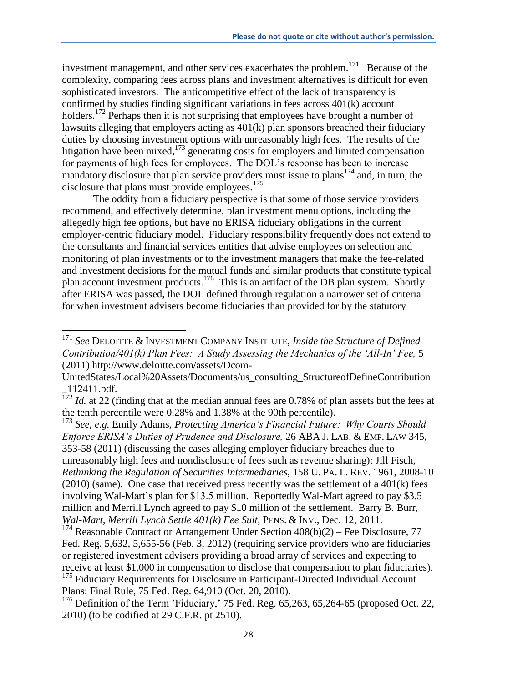investment management, and other services exacerbates the problem.<sup>171</sup> Because of the complexity, comparing fees across plans and investment alternatives is difficult for even sophisticated investors. The anticompetitive effect of the lack of transparency is confirmed by studies finding significant variations in fees across 401(k) account holders.<sup>172</sup> Perhaps then it is not surprising that employees have brought a number of lawsuits alleging that employers acting as 401(k) plan sponsors breached their fiduciary duties by choosing investment options with unreasonably high fees. The results of the litigation have been mixed,<sup>173</sup> generating costs for employers and limited compensation for payments of high fees for employees. The DOL's response has been to increase mandatory disclosure that plan service providers must issue to plans<sup>174</sup> and, in turn, the disclosure that plans must provide employees. $175$ 

The oddity from a fiduciary perspective is that some of those service providers recommend, and effectively determine, plan investment menu options, including the allegedly high fee options, but have no ERISA fiduciary obligations in the current employer-centric fiduciary model. Fiduciary responsibility frequently does not extend to the consultants and financial services entities that advise employees on selection and monitoring of plan investments or to the investment managers that make the fee-related and investment decisions for the mutual funds and similar products that constitute typical plan account investment products.<sup>176</sup> This is an artifact of the DB plan system. Shortly after ERISA was passed, the DOL defined through regulation a narrower set of criteria for when investment advisers become fiduciaries than provided for by the statutory

 $\overline{\phantom{a}}$ 

<sup>173</sup> *See, e.g.* Emily Adams, *Protecting America's Financial Future: Why Courts Should Enforce ERISA's Duties of Prudence and Disclosure,* 26 ABA J. LAB. & EMP. LAW 345, 353-58 (2011) (discussing the cases alleging employer fiduciary breaches due to unreasonably high fees and nondisclosure of fees such as revenue sharing); Jill Fisch, *Rethinking the Regulation of Securities Intermediaries,* 158 U. PA. L. REV. 1961, 2008-10  $(2010)$  (same). One case that received press recently was the settlement of a 401 $(k)$  fees involving Wal-Mart's plan for \$13.5 million. Reportedly Wal-Mart agreed to pay \$3.5 million and Merrill Lynch agreed to pay \$10 million of the settlement. Barry B. Burr, *Wal-Mart, Merrill Lynch Settle 401(k) Fee Suit,* PENS. & INV., Dec. 12, 2011.

<sup>171</sup> *See* DELOITTE & INVESTMENT COMPANY INSTITUTE, *Inside the Structure of Defined Contribution/401(k) Plan Fees: A Study Assessing the Mechanics of the 'All-In' Fee,* 5 (2011) http://www.deloitte.com/assets/Dcom-

UnitedStates/Local%20Assets/Documents/us\_consulting\_StructureofDefineContribution \_112411.pdf.

 $\frac{172}{172}$  *Id.* at 22 (finding that at the median annual fees are 0.78% of plan assets but the fees at the tenth percentile were 0.28% and 1.38% at the 90th percentile).

<sup>&</sup>lt;sup>174</sup> Reasonable Contract or Arrangement Under Section  $408(b)(2)$  – Fee Disclosure, 77 Fed. Reg. 5,632, 5,655-56 (Feb. 3, 2012) (requiring service providers who are fiduciaries or registered investment advisers providing a broad array of services and expecting to receive at least \$1,000 in compensation to disclose that compensation to plan fiduciaries). <sup>175</sup> Fiduciary Requirements for Disclosure in Participant-Directed Individual Account Plans: Final Rule, 75 Fed. Reg. 64,910 (Oct. 20, 2010).

 $176$  Definition of the Term 'Fiduciary,' 75 Fed. Reg. 65,263, 65,264-65 (proposed Oct. 22, 2010) (to be codified at 29 C.F.R. pt 2510).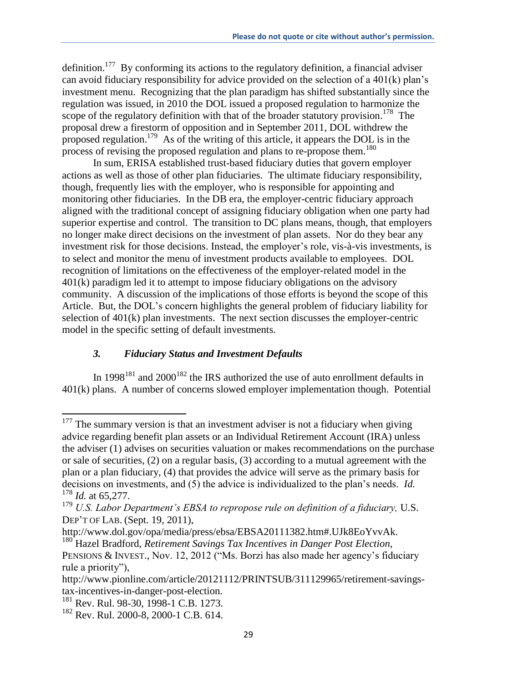definition.<sup>177</sup> By conforming its actions to the regulatory definition, a financial adviser can avoid fiduciary responsibility for advice provided on the selection of a 401(k) plan's investment menu. Recognizing that the plan paradigm has shifted substantially since the regulation was issued, in 2010 the DOL issued a proposed regulation to harmonize the scope of the regulatory definition with that of the broader statutory provision.<sup>178</sup> The proposal drew a firestorm of opposition and in September 2011, DOL withdrew the proposed regulation.<sup>179</sup> As of the writing of this article, it appears the DOL is in the process of revising the proposed regulation and plans to re-propose them.<sup>180</sup>

In sum, ERISA established trust-based fiduciary duties that govern employer actions as well as those of other plan fiduciaries. The ultimate fiduciary responsibility, though, frequently lies with the employer, who is responsible for appointing and monitoring other fiduciaries. In the DB era, the employer-centric fiduciary approach aligned with the traditional concept of assigning fiduciary obligation when one party had superior expertise and control. The transition to DC plans means, though, that employers no longer make direct decisions on the investment of plan assets. Nor do they bear any investment risk for those decisions. Instead, the employer's role, vis-à-vis investments, is to select and monitor the menu of investment products available to employees. DOL recognition of limitations on the effectiveness of the employer-related model in the 401(k) paradigm led it to attempt to impose fiduciary obligations on the advisory community. A discussion of the implications of those efforts is beyond the scope of this Article. But, the DOL's concern highlights the general problem of fiduciary liability for selection of 401(k) plan investments. The next section discusses the employer-centric model in the specific setting of default investments.

## *3. Fiduciary Status and Investment Defaults*

In 1998<sup>181</sup> and 2000<sup>182</sup> the IRS authorized the use of auto enrollment defaults in 401(k) plans. A number of concerns slowed employer implementation though. Potential

 $177$  The summary version is that an investment adviser is not a fiduciary when giving advice regarding benefit plan assets or an Individual Retirement Account (IRA) unless the adviser (1) advises on securities valuation or makes recommendations on the purchase or sale of securities, (2) on a regular basis, (3) according to a mutual agreement with the plan or a plan fiduciary, (4) that provides the advice will serve as the primary basis for decisions on investments, and (5) the advice is individualized to the plan's needs. *Id.* <sup>178</sup> *Id.* at 65,277.

<sup>&</sup>lt;sup>179</sup> *U.S. Labor Department's EBSA to repropose rule on definition of a fiduciary*, U.S. DEP'T OF LAB. (Sept. 19, 2011),

http://www.dol.gov/opa/media/press/ebsa/EBSA20111382.htm#.UJk8EoYvvAk.

<sup>&</sup>lt;sup>180</sup> Hazel Bradford, *Retirement Savings Tax Incentives in Danger Post Election*, PENSIONS & INVEST., Nov. 12, 2012 ("Ms. Borzi has also made her agency's fiduciary rule a priority"),

http://www.pionline.com/article/20121112/PRINTSUB/311129965/retirement-savingstax-incentives-in-danger-post-election.

<sup>&</sup>lt;sup>181</sup> Rev. Rul. 98-30, 1998-1 C.B. 1273.

<sup>182</sup> Rev. Rul. 2000-8, 2000-1 C.B. 614.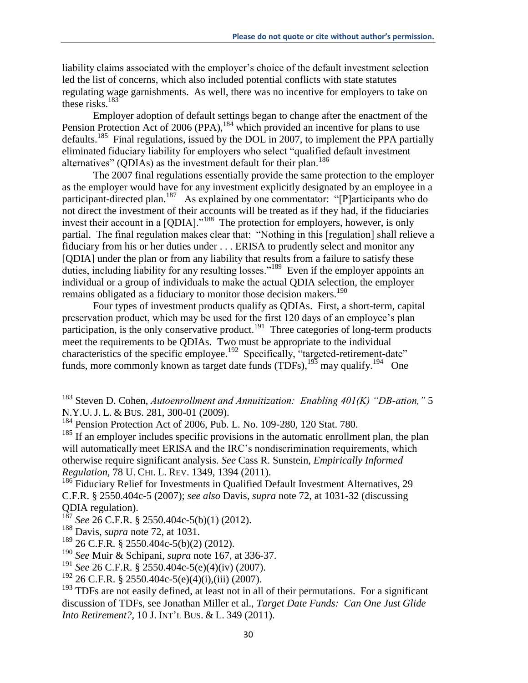liability claims associated with the employer's choice of the default investment selection led the list of concerns, which also included potential conflicts with state statutes regulating wage garnishments. As well, there was no incentive for employers to take on these risks.<sup>183</sup>

Employer adoption of default settings began to change after the enactment of the Pension Protection Act of 2006 (PPA), <sup>184</sup> which provided an incentive for plans to use defaults.<sup>185</sup> Final regulations, issued by the DOL in 2007, to implement the PPA partially eliminated fiduciary liability for employers who select "qualified default investment alternatives" (QDIAs) as the investment default for their plan.<sup>186</sup>

The 2007 final regulations essentially provide the same protection to the employer as the employer would have for any investment explicitly designated by an employee in a participant-directed plan.<sup>187</sup> As explained by one commentator: "[P]articipants who do not direct the investment of their accounts will be treated as if they had, if the fiduciaries invest their account in a [QDIA]."<sup>188</sup> The protection for employers, however, is only partial. The final regulation makes clear that: "Nothing in this [regulation] shall relieve a fiduciary from his or her duties under . . . ERISA to prudently select and monitor any [QDIA] under the plan or from any liability that results from a failure to satisfy these duties, including liability for any resulting losses."<sup>189</sup> Even if the employer appoints an individual or a group of individuals to make the actual QDIA selection, the employer remains obligated as a fiduciary to monitor those decision makers.<sup>190</sup>

Four types of investment products qualify as QDIAs. First, a short-term, capital preservation product, which may be used for the first 120 days of an employee's plan participation, is the only conservative product.<sup>191</sup> Three categories of long-term products meet the requirements to be QDIAs. Two must be appropriate to the individual characteristics of the specific employee.<sup>192</sup> Specifically, "targeted-retirement-date" funds, more commonly known as target date funds  $(TDFs)$ ,  $^{193}$  may qualify.<sup>194</sup> One

<sup>183</sup> Steven D. Cohen, *Autoenrollment and Annuitization: Enabling 401(K) "DB-ation,"* 5 N.Y.U. J. L. & BUS. 281, 300-01 (2009).

<sup>184</sup> Pension Protection Act of 2006, Pub. L. No. 109-280, 120 Stat. 780.

 $185$  If an employer includes specific provisions in the automatic enrollment plan, the plan will automatically meet ERISA and the IRC's nondiscrimination requirements, which otherwise require significant analysis. *See* Cass R. Sunstein, *Empirically Informed Regulation,* 78 U. CHI. L. REV. 1349, 1394 (2011).

<sup>&</sup>lt;sup>186</sup> Fiduciary Relief for Investments in Qualified Default Investment Alternatives, 29 C.F.R. § 2550.404c-5 (2007); *see also* Davis, *supra* note 72, at 1031-32 (discussing QDIA regulation).

<sup>187</sup> *See* 26 C.F.R. § 2550.404c-5(b)(1) (2012).

<sup>188</sup> Davis, *supra* note 72, at 1031.

 $189$  26 C.F.R. § 2550.404c-5(b)(2) (2012).

<sup>190</sup> *See* Muir & Schipani, *supra* note 167, at 336-37.

<sup>191</sup> *See* 26 C.F.R. § 2550.404c-5(e)(4)(iv) (2007).

 $192$  26 C.F.R. § 2550.404c-5(e)(4)(i),(iii) (2007).

 $193$  TDFs are not easily defined, at least not in all of their permutations. For a significant discussion of TDFs, see Jonathan Miller et al., *Target Date Funds: Can One Just Glide Into Retirement?,* 10 J. INT'L BUS. & L. 349 (2011).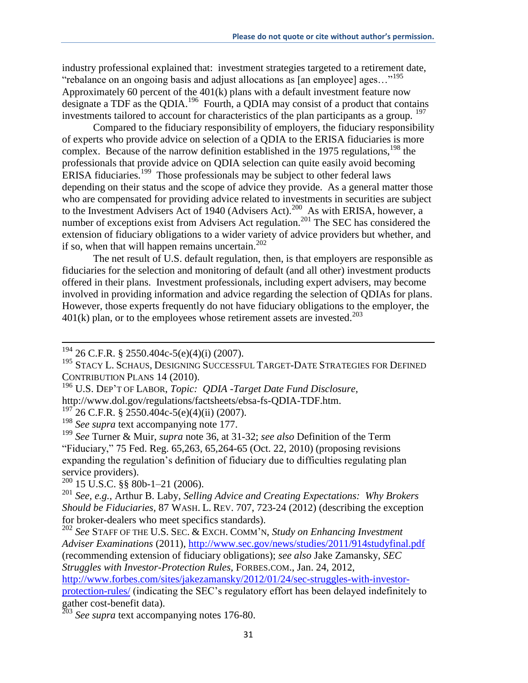industry professional explained that: investment strategies targeted to a retirement date, "rebalance on an ongoing basis and adjust allocations as [an employee] ages…"<sup>195</sup> Approximately 60 percent of the  $401(k)$  plans with a default investment feature now designate a TDF as the QDIA.<sup>196</sup> Fourth, a QDIA may consist of a product that contains investments tailored to account for characteristics of the plan participants as a group.  $197$ 

Compared to the fiduciary responsibility of employers, the fiduciary responsibility of experts who provide advice on selection of a QDIA to the ERISA fiduciaries is more complex. Because of the narrow definition established in the 1975 regulations,  $^{198}$  the professionals that provide advice on QDIA selection can quite easily avoid becoming ERISA fiduciaries.<sup>199</sup> Those professionals may be subject to other federal laws depending on their status and the scope of advice they provide. As a general matter those who are compensated for providing advice related to investments in securities are subject to the Investment Advisers Act of 1940 (Advisers Act).<sup>200</sup> As with ERISA, however, a number of exceptions exist from Advisers Act regulation.<sup>201</sup> The SEC has considered the extension of fiduciary obligations to a wider variety of advice providers but whether, and if so, when that will happen remains uncertain. $202$ 

The net result of U.S. default regulation, then, is that employers are responsible as fiduciaries for the selection and monitoring of default (and all other) investment products offered in their plans. Investment professionals, including expert advisers, may become involved in providing information and advice regarding the selection of QDIAs for plans. However, those experts frequently do not have fiduciary obligations to the employer, the  $401(k)$  plan, or to the employees whose retirement assets are invested.<sup>203</sup>

 $\overline{\phantom{a}}$ 

<sup>196</sup> U.S. DEP'T OF LABOR, *Topic: QDIA -Target Date Fund Disclosure,*

http://www.dol.gov/regulations/factsheets/ebsa-fs-QDIA-TDF.htm.

 $197$  26 C.F.R. § 2550.404c-5(e)(4)(ii) (2007).

<sup>198</sup> See supra text accompanying note 177.

<sup>199</sup> *See* Turner & Muir, *supra* note 36, at 31-32; *see also* Definition of the Term "Fiduciary," 75 Fed. Reg. 65,263, 65,264-65 (Oct. 22, 2010) (proposing revisions expanding the regulation's definition of fiduciary due to difficulties regulating plan service providers).

 $200$  15 U.S.C. §§ 80b-1-21 (2006).

<sup>201</sup> *See, e.g.,* Arthur B. Laby, *Selling Advice and Creating Expectations: Why Brokers Should be Fiduciaries,* 87 WASH. L. REV. 707, 723-24 (2012) (describing the exception for broker-dealers who meet specifics standards).

<sup>202</sup> *See* STAFF OF THE U.S. SEC. & EXCH. COMM'N, *Study on Enhancing Investment Adviser Examinations* (2011), http://www.sec.gov/news/studies/2011/914studyfinal.pdf (recommending extension of fiduciary obligations); *see also* Jake Zamansky, *SEC Struggles with Investor-Protection Rules,* FORBES.COM., Jan. 24, 2012,

http://www.forbes.com/sites/jakezamansky/2012/01/24/sec-struggles-with-investorprotection-rules/ (indicating the SEC's regulatory effort has been delayed indefinitely to gather cost-benefit data).

<sup>203</sup> *See supra* text accompanying notes 176-80.

 $194$  26 C.F.R. § 2550.404c-5(e)(4)(i) (2007).

<sup>&</sup>lt;sup>195</sup> STACY L. SCHAUS, DESIGNING SUCCESSFUL TARGET-DATE STRATEGIES FOR DEFINED CONTRIBUTION PLANS 14 (2010).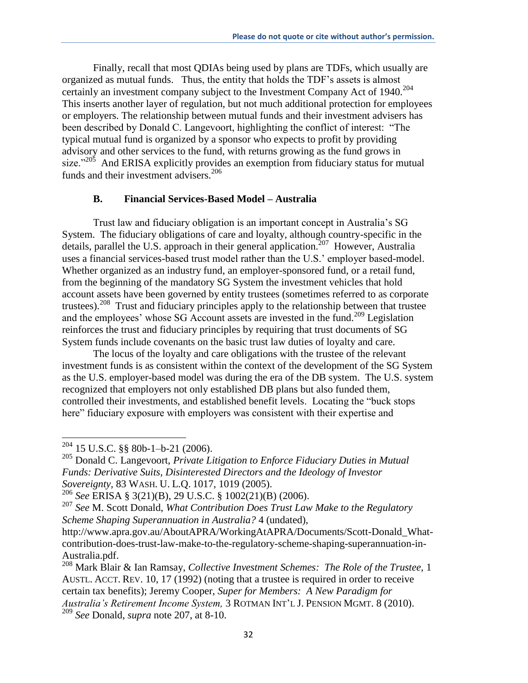Finally, recall that most QDIAs being used by plans are TDFs, which usually are organized as mutual funds. Thus, the entity that holds the TDF's assets is almost certainly an investment company subject to the Investment Company Act of 1940.<sup>204</sup> This inserts another layer of regulation, but not much additional protection for employees or employers. The relationship between mutual funds and their investment advisers has been described by Donald C. Langevoort, highlighting the conflict of interest: "The typical mutual fund is organized by a sponsor who expects to profit by providing advisory and other services to the fund, with returns growing as the fund grows in size."<sup>205</sup> And ERISA explicitly provides an exemption from fiduciary status for mutual funds and their investment advisers.<sup>206</sup>

### **B. Financial Services-Based Model – Australia**

Trust law and fiduciary obligation is an important concept in Australia's SG System. The fiduciary obligations of care and loyalty, although country-specific in the details, parallel the U.S. approach in their general application.<sup>207</sup> However, Australia uses a financial services-based trust model rather than the U.S.' employer based-model. Whether organized as an industry fund, an employer-sponsored fund, or a retail fund, from the beginning of the mandatory SG System the investment vehicles that hold account assets have been governed by entity trustees (sometimes referred to as corporate trustees).<sup>208</sup> Trust and fiduciary principles apply to the relationship between that trustee and the employees' whose SG Account assets are invested in the fund.<sup>209</sup> Legislation reinforces the trust and fiduciary principles by requiring that trust documents of SG System funds include covenants on the basic trust law duties of loyalty and care.

The locus of the loyalty and care obligations with the trustee of the relevant investment funds is as consistent within the context of the development of the SG System as the U.S. employer-based model was during the era of the DB system. The U.S. system recognized that employers not only established DB plans but also funded them, controlled their investments, and established benefit levels. Locating the "buck stops here" fiduciary exposure with employers was consistent with their expertise and

 $204$  15 U.S.C. §§ 80b-1–b-21 (2006).

<sup>205</sup> Donald C. Langevoort, *Private Litigation to Enforce Fiduciary Duties in Mutual Funds: Derivative Suits, Disinterested Directors and the Ideology of Investor Sovereignty,* 83 WASH. U. L.Q. 1017, 1019 (2005).

<sup>206</sup> *See* ERISA § 3(21)(B), 29 U.S.C. § 1002(21)(B) (2006).

<sup>207</sup> *See* M. Scott Donald, *What Contribution Does Trust Law Make to the Regulatory Scheme Shaping Superannuation in Australia?* 4 (undated),

http://www.apra.gov.au/AboutAPRA/WorkingAtAPRA/Documents/Scott-Donald\_Whatcontribution-does-trust-law-make-to-the-regulatory-scheme-shaping-superannuation-in-Australia.pdf.

<sup>208</sup> Mark Blair & Ian Ramsay, *Collective Investment Schemes: The Role of the Trustee,* 1 AUSTL. ACCT. REV. 10, 17 (1992) (noting that a trustee is required in order to receive certain tax benefits); Jeremy Cooper, *Super for Members: A New Paradigm for Australia's Retirement Income System,* 3 ROTMAN INT'L J. PENSION MGMT. 8 (2010). <sup>209</sup> *See* Donald, *supra* note 207, at 8-10.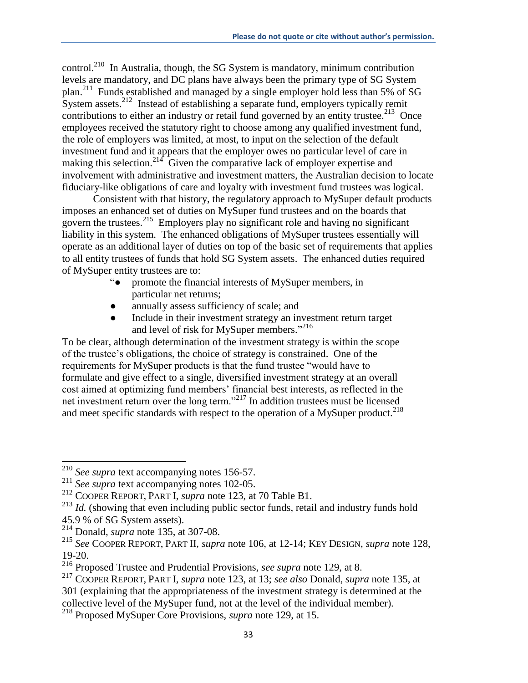control.<sup>210</sup> In Australia, though, the SG System is mandatory, minimum contribution levels are mandatory, and DC plans have always been the primary type of SG System plan.<sup>211</sup> Funds established and managed by a single employer hold less than 5% of SG System assets.<sup>212</sup> Instead of establishing a separate fund, employers typically remit contributions to either an industry or retail fund governed by an entity trustee.<sup>213</sup> Once employees received the statutory right to choose among any qualified investment fund, the role of employers was limited, at most, to input on the selection of the default investment fund and it appears that the employer owes no particular level of care in making this selection.<sup>214</sup> Given the comparative lack of employer expertise and involvement with administrative and investment matters, the Australian decision to locate fiduciary-like obligations of care and loyalty with investment fund trustees was logical.

Consistent with that history, the regulatory approach to MySuper default products imposes an enhanced set of duties on MySuper fund trustees and on the boards that govern the trustees.<sup>215</sup> Employers play no significant role and having no significant liability in this system. The enhanced obligations of MySuper trustees essentially will operate as an additional layer of duties on top of the basic set of requirements that applies to all entity trustees of funds that hold SG System assets. The enhanced duties required of MySuper entity trustees are to:

- "● promote the financial interests of MySuper members, in particular net returns;
- annually assess sufficiency of scale; and
- Include in their investment strategy an investment return target and level of risk for MySuper members."<sup>216</sup>

To be clear, although determination of the investment strategy is within the scope of the trustee's obligations, the choice of strategy is constrained. One of the requirements for MySuper products is that the fund trustee "would have to formulate and give effect to a single, diversified investment strategy at an overall cost aimed at optimizing fund members' financial best interests, as reflected in the net investment return over the long term."<sup>217</sup> In addition trustees must be licensed and meet specific standards with respect to the operation of a MySuper product.<sup>218</sup>

<sup>210</sup> *See supra* text accompanying notes 156-57.

<sup>211</sup> *See supra* text accompanying notes 102-05.

<sup>212</sup> COOPER REPORT, PART I, *supra* note 123, at 70 Table B1.

<sup>&</sup>lt;sup>213</sup> *Id.* (showing that even including public sector funds, retail and industry funds hold 45.9 % of SG System assets).

<sup>214</sup> Donald, *supra* note 135, at 307-08.

<sup>215</sup> *See* COOPER REPORT, PART II, *supra* note 106, at 12-14; KEY DESIGN, *supra* note 128, 19-20.

<sup>216</sup> Proposed Trustee and Prudential Provisions, *see supra* note 129, at 8.

<sup>217</sup> COOPER REPORT, PART I, *supra* note 123, at 13; *see also* Donald, *supra* note 135*,* at 301 (explaining that the appropriateness of the investment strategy is determined at the collective level of the MySuper fund, not at the level of the individual member).

<sup>218</sup> Proposed MySuper Core Provisions, *supra* note 129, at 15.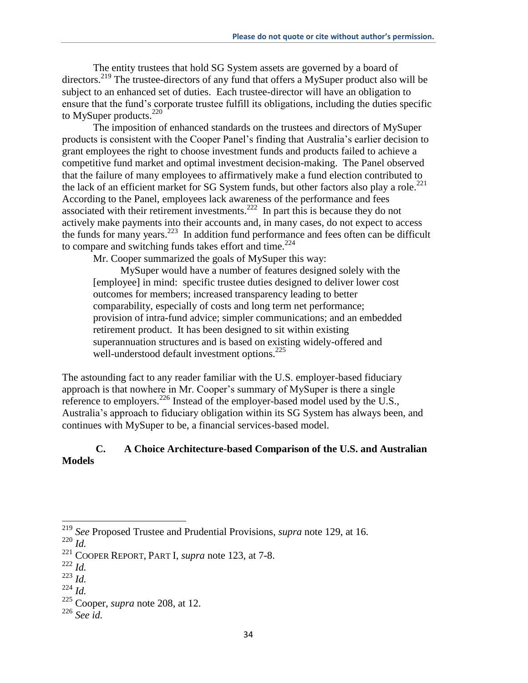The entity trustees that hold SG System assets are governed by a board of directors.<sup>219</sup> The trustee-directors of any fund that offers a MySuper product also will be subject to an enhanced set of duties. Each trustee-director will have an obligation to ensure that the fund's corporate trustee fulfill its obligations, including the duties specific to MySuper products. $220$ 

The imposition of enhanced standards on the trustees and directors of MySuper products is consistent with the Cooper Panel's finding that Australia's earlier decision to grant employees the right to choose investment funds and products failed to achieve a competitive fund market and optimal investment decision-making. The Panel observed that the failure of many employees to affirmatively make a fund election contributed to the lack of an efficient market for SG System funds, but other factors also play a role.<sup>221</sup> According to the Panel, employees lack awareness of the performance and fees associated with their retirement investments.<sup>222</sup> In part this is because they do not actively make payments into their accounts and, in many cases, do not expect to access the funds for many years.<sup>223</sup> In addition fund performance and fees often can be difficult to compare and switching funds takes effort and time. $224$ 

Mr. Cooper summarized the goals of MySuper this way:

MySuper would have a number of features designed solely with the [employee] in mind: specific trustee duties designed to deliver lower cost outcomes for members; increased transparency leading to better comparability, especially of costs and long term net performance; provision of intra-fund advice; simpler communications; and an embedded retirement product. It has been designed to sit within existing superannuation structures and is based on existing widely-offered and well-understood default investment options. $^{225}$ 

The astounding fact to any reader familiar with the U.S. employer-based fiduciary approach is that nowhere in Mr. Cooper's summary of MySuper is there a single reference to employers.<sup>226</sup> Instead of the employer-based model used by the U.S., Australia's approach to fiduciary obligation within its SG System has always been, and continues with MySuper to be, a financial services-based model.

## **C. A Choice Architecture-based Comparison of the U.S. and Australian Models**

<sup>219</sup> *See* Proposed Trustee and Prudential Provisions, *supra* note 129, at 16.

<sup>220</sup> *Id.*

<sup>221</sup> COOPER REPORT, PART I, *supra* note 123, at 7-8.

<sup>222</sup> *Id.*

<sup>223</sup> *Id.*

 $^{224}$  *Id.* 

<sup>225</sup> Cooper, *supra* note 208, at 12.

<sup>226</sup> *See id.*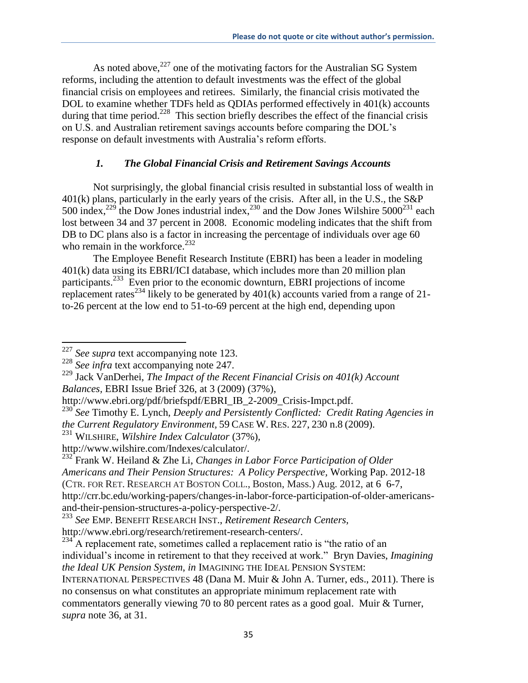As noted above,  $227$  one of the motivating factors for the Australian SG System reforms, including the attention to default investments was the effect of the global financial crisis on employees and retirees. Similarly, the financial crisis motivated the DOL to examine whether TDFs held as QDIAs performed effectively in 401(k) accounts during that time period.<sup>228</sup> This section briefly describes the effect of the financial crisis on U.S. and Australian retirement savings accounts before comparing the DOL's response on default investments with Australia's reform efforts.

# *1. The Global Financial Crisis and Retirement Savings Accounts*

Not surprisingly, the global financial crisis resulted in substantial loss of wealth in 401(k) plans, particularly in the early years of the crisis. After all, in the U.S., the S&P  $500$  index,<sup>229</sup> the Dow Jones industrial index,<sup>230</sup> and the Dow Jones Wilshire  $5000^{231}$  each lost between 34 and 37 percent in 2008. Economic modeling indicates that the shift from DB to DC plans also is a factor in increasing the percentage of individuals over age 60 who remain in the workforce.<sup>232</sup>

The Employee Benefit Research Institute (EBRI) has been a leader in modeling 401(k) data using its EBRI/ICI database, which includes more than 20 million plan participants.<sup>233</sup> Even prior to the economic downturn, EBRI projections of income replacement rates<sup>234</sup> likely to be generated by  $401(k)$  accounts varied from a range of 21to-26 percent at the low end to 51-to-69 percent at the high end, depending upon

 $\overline{\phantom{a}}$ <sup>227</sup> *See supra* text accompanying note 123.

<sup>228</sup> *See infra* text accompanying note 247.

<sup>229</sup> Jack VanDerhei, *The Impact of the Recent Financial Crisis on 401(k) Account Balances,* EBRI Issue Brief 326, at 3 (2009) (37%),

http://www.ebri.org/pdf/briefspdf/EBRI\_IB\_2-2009\_Crisis-Impct.pdf.

<sup>230</sup> *See* Timothy E. Lynch, *Deeply and Persistently Conflicted: Credit Rating Agencies in the Current Regulatory Environment,* 59 CASE W. RES. 227, 230 n.8 (2009).

<sup>231</sup> WILSHIRE, *Wilshire Index Calculator* (37%)*,*

http://www.wilshire.com/Indexes/calculator/.

<sup>232</sup> Frank W. Heiland & Zhe Li, *Changes in Labor Force Participation of Older Americans and Their Pension Structures: A Policy Perspective,* Working Pap. 2012-18 (CTR. FOR RET. RESEARCH AT BOSTON COLL., Boston, Mass.) Aug. 2012, at 6 6-7, http://crr.bc.edu/working-papers/changes-in-labor-force-participation-of-older-americansand-their-pension-structures-a-policy-perspective-2/.

<sup>233</sup> *See* EMP. BENEFIT RESEARCH INST., *Retirement Research Centers,*  http://www.ebri.org/research/retirement-research-centers/.

<sup>&</sup>lt;sup>234</sup> A replacement rate, sometimes called a replacement ratio is "the ratio of an individual's income in retirement to that they received at work." Bryn Davies, *Imagining the Ideal UK Pension System*, *in* IMAGINING THE IDEAL PENSION SYSTEM:

INTERNATIONAL PERSPECTIVES 48 (Dana M. Muir & John A. Turner, eds., 2011). There is no consensus on what constitutes an appropriate minimum replacement rate with commentators generally viewing 70 to 80 percent rates as a good goal. Muir & Turner, *supra* note 36, at 31.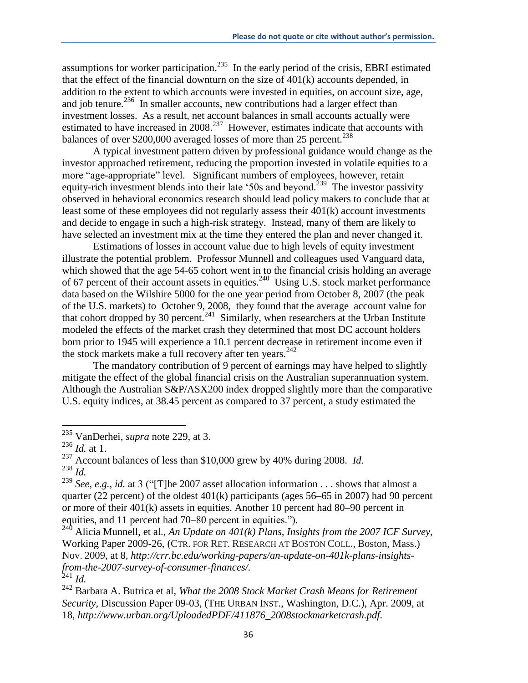assumptions for worker participation.<sup>235</sup> In the early period of the crisis, EBRI estimated that the effect of the financial downturn on the size of 401(k) accounts depended, in addition to the extent to which accounts were invested in equities, on account size, age, and job tenure. $^{236}$  In smaller accounts, new contributions had a larger effect than investment losses. As a result, net account balances in small accounts actually were estimated to have increased in  $2008$ <sup>237</sup> However, estimates indicate that accounts with balances of over \$200,000 averaged losses of more than 25 percent.<sup>238</sup>

A typical investment pattern driven by professional guidance would change as the investor approached retirement, reducing the proportion invested in volatile equities to a more "age-appropriate" level. Significant numbers of employees, however, retain equity-rich investment blends into their late '50s and beyond.<sup>239</sup> The investor passivity observed in behavioral economics research should lead policy makers to conclude that at least some of these employees did not regularly assess their 401(k) account investments and decide to engage in such a high-risk strategy. Instead, many of them are likely to have selected an investment mix at the time they entered the plan and never changed it.

Estimations of losses in account value due to high levels of equity investment illustrate the potential problem. Professor Munnell and colleagues used Vanguard data, which showed that the age 54-65 cohort went in to the financial crisis holding an average of 67 percent of their account assets in equities.<sup>240</sup> Using U.S. stock market performance data based on the Wilshire 5000 for the one year period from October 8, 2007 (the peak of the U.S. markets) to October 9, 2008, they found that the average account value for that cohort dropped by 30 percent.<sup>241</sup> Similarly, when researchers at the Urban Institute modeled the effects of the market crash they determined that most DC account holders born prior to 1945 will experience a 10.1 percent decrease in retirement income even if the stock markets make a full recovery after ten years. $242$ 

The mandatory contribution of 9 percent of earnings may have helped to slightly mitigate the effect of the global financial crisis on the Australian superannuation system. Although the Australian S&P/ASX200 index dropped slightly more than the comparative U.S. equity indices, at 38.45 percent as compared to 37 percent, a study estimated the

l

<sup>235</sup> VanDerhei, *supra* note 229, at 3.

<sup>236</sup> *Id.* at 1.

<sup>237</sup> Account balances of less than \$10,000 grew by 40% during 2008. *Id.* <sup>238</sup> *Id.*

<sup>239</sup> *See, e.g.*, *id.* at 3 ("[T]he 2007 asset allocation information . . . shows that almost a quarter (22 percent) of the oldest 401(k) participants (ages 56–65 in 2007) had 90 percent or more of their 401(k) assets in equities. Another 10 percent had 80–90 percent in

equities, and 11 percent had 70–80 percent in equities.").

<sup>&</sup>lt;sup>240</sup> Alicia Munnell, et al., *An Update on 401(k) Plans, Insights from the 2007 ICF Survey,* Working Paper 2009-26, (CTR. FOR RET. RESEARCH AT BOSTON COLL., Boston, Mass.) Nov. 2009, at 8*, http://crr.bc.edu/working-papers/an-update-on-401k-plans-insightsfrom-the-2007-survey-of-consumer-finances/.* <sup>241</sup> *Id.*

<sup>242</sup> Barbara A. Butrica et al, *What the 2008 Stock Market Crash Means for Retirement Security,* Discussion Paper 09-03, (THE URBAN INST., Washington, D.C.), Apr. 2009, at 18, *http://www.urban.org/UploadedPDF/411876\_2008stockmarketcrash.pdf.*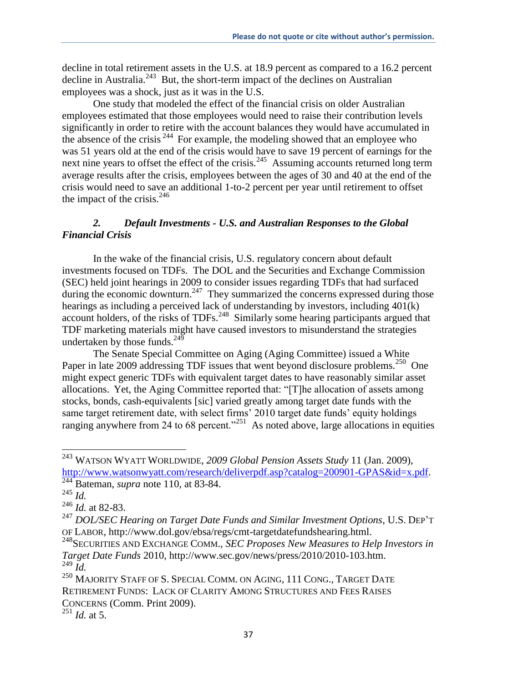decline in total retirement assets in the U.S. at 18.9 percent as compared to a 16.2 percent decline in Australia.<sup>243</sup> But, the short-term impact of the declines on Australian employees was a shock, just as it was in the U.S.

One study that modeled the effect of the financial crisis on older Australian employees estimated that those employees would need to raise their contribution levels significantly in order to retire with the account balances they would have accumulated in the absence of the crisis <sup>244</sup> For example, the modeling showed that an employee who was 51 years old at the end of the crisis would have to save 19 percent of earnings for the next nine years to offset the effect of the crisis.<sup>245</sup> Assuming accounts returned long term average results after the crisis, employees between the ages of 30 and 40 at the end of the crisis would need to save an additional 1-to-2 percent per year until retirement to offset the impact of the crisis. $246$ 

# *2. Default Investments - U.S. and Australian Responses to the Global Financial Crisis*

In the wake of the financial crisis, U.S. regulatory concern about default investments focused on TDFs. The DOL and the Securities and Exchange Commission (SEC) held joint hearings in 2009 to consider issues regarding TDFs that had surfaced during the economic downturn.<sup>247</sup> They summarized the concerns expressed during those hearings as including a perceived lack of understanding by investors, including 401(k) account holders, of the risks of TDFs.<sup>248</sup> Similarly some hearing participants argued that TDF marketing materials might have caused investors to misunderstand the strategies undertaken by those funds. $^{249}$ 

The Senate Special Committee on Aging (Aging Committee) issued a White Paper in late 2009 addressing TDF issues that went beyond disclosure problems.<sup>250</sup> One might expect generic TDFs with equivalent target dates to have reasonably similar asset allocations. Yet, the Aging Committee reported that: "[T]he allocation of assets among stocks, bonds, cash-equivalents [sic] varied greatly among target date funds with the same target retirement date, with select firms' 2010 target date funds' equity holdings ranging anywhere from 24 to 68 percent."<sup>251</sup> As noted above, large allocations in equities

 $\overline{a}$ 

CONCERNS (Comm. Print 2009).

<sup>251</sup> *Id.* at 5.

<sup>243</sup> WATSON WYATT WORLDWIDE, *2009 Global Pension Assets Study* 11 (Jan. 2009), http://www.watsonwyatt.com/research/deliverpdf.asp?catalog=200901-GPAS&id=x.pdf. <sup>244</sup> Bateman, *supra* note 110, at 83-84.

<sup>245</sup> *Id.*

<sup>246</sup> *Id.* at 82-83.

<sup>247</sup> *DOL/SEC Hearing on Target Date Funds and Similar Investment Options*, U.S. DEP'<sup>T</sup> OF LABOR, http://www.dol.gov/ebsa/regs/cmt-targetdatefundshearing.html.

<sup>248</sup>SECURITIES AND EXCHANGE COMM., *SEC Proposes New Measures to Help Investors in Target Date Funds* 2010, http://www.sec.gov/news/press/2010/2010-103.htm.  $^{249}$  *Id.* 

<sup>&</sup>lt;sup>250</sup> MAJORITY STAFF OF S. SPECIAL COMM. ON AGING, 111 CONG., TARGET DATE RETIREMENT FUNDS: LACK OF CLARITY AMONG STRUCTURES AND FEES RAISES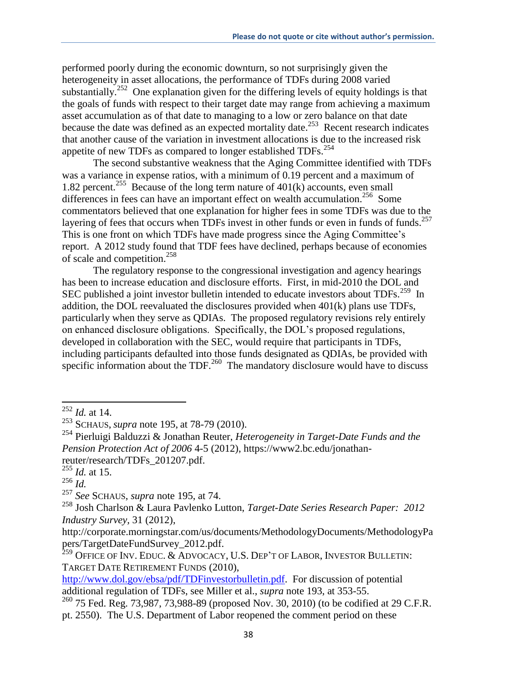performed poorly during the economic downturn, so not surprisingly given the heterogeneity in asset allocations, the performance of TDFs during 2008 varied substantially.<sup>252</sup> One explanation given for the differing levels of equity holdings is that the goals of funds with respect to their target date may range from achieving a maximum asset accumulation as of that date to managing to a low or zero balance on that date because the date was defined as an expected mortality date.<sup>253</sup> Recent research indicates that another cause of the variation in investment allocations is due to the increased risk appetite of new TDFs as compared to longer established TDFs.<sup>254</sup>

The second substantive weakness that the Aging Committee identified with TDFs was a variance in expense ratios, with a minimum of 0.19 percent and a maximum of 1.82 percent.<sup>255</sup> Because of the long term nature of  $401(k)$  accounts, even small differences in fees can have an important effect on wealth accumulation.<sup>256</sup> Some commentators believed that one explanation for higher fees in some TDFs was due to the layering of fees that occurs when TDFs invest in other funds or even in funds of funds.<sup>257</sup> This is one front on which TDFs have made progress since the Aging Committee's report. A 2012 study found that TDF fees have declined, perhaps because of economies of scale and competition.<sup>258</sup>

The regulatory response to the congressional investigation and agency hearings has been to increase education and disclosure efforts. First, in mid-2010 the DOL and SEC published a joint investor bulletin intended to educate investors about TDFs.<sup>259</sup> In addition, the DOL reevaluated the disclosures provided when 401(k) plans use TDFs, particularly when they serve as QDIAs. The proposed regulatory revisions rely entirely on enhanced disclosure obligations. Specifically, the DOL's proposed regulations, developed in collaboration with the SEC, would require that participants in TDFs, including participants defaulted into those funds designated as QDIAs, be provided with specific information about the TDF. $^{260}$  The mandatory disclosure would have to discuss

<sup>252</sup> *Id.* at 14.

<sup>253</sup> SCHAUS, *supra* note 195, at 78-79 (2010).

<sup>254</sup> Pierluigi Balduzzi & Jonathan Reuter, *Heterogeneity in Target-Date Funds and the Pension Protection Act of 2006* 4-5 (2012), https://www2.bc.edu/jonathanreuter/research/TDFs\_201207.pdf.

<sup>255</sup> *Id.* at 15.

<sup>256</sup> *Id.*

<sup>257</sup> *See* SCHAUS, *supra* note 195, at 74.

<sup>258</sup> Josh Charlson & Laura Pavlenko Lutton, *Target-Date Series Research Paper: 2012 Industry Survey,* 31 (2012),

http://corporate.morningstar.com/us/documents/MethodologyDocuments/MethodologyPa pers/TargetDateFundSurvey\_2012.pdf.

 $^{259}$  Office of Inv. Educ. & Advocacy, U.S. Dep't of Labor, Investor Bulletin: TARGET DATE RETIREMENT FUNDS (2010),

http://www.dol.gov/ebsa/pdf/TDFinvestorbulletin.pdf. For discussion of potential additional regulation of TDFs, see Miller et al., *supra* note 193, at 353-55.

<sup>&</sup>lt;sup>260</sup> 75 Fed. Reg. 73,987, 73,988-89 (proposed Nov. 30, 2010) (to be codified at 29 C.F.R. pt. 2550). The U.S. Department of Labor reopened the comment period on these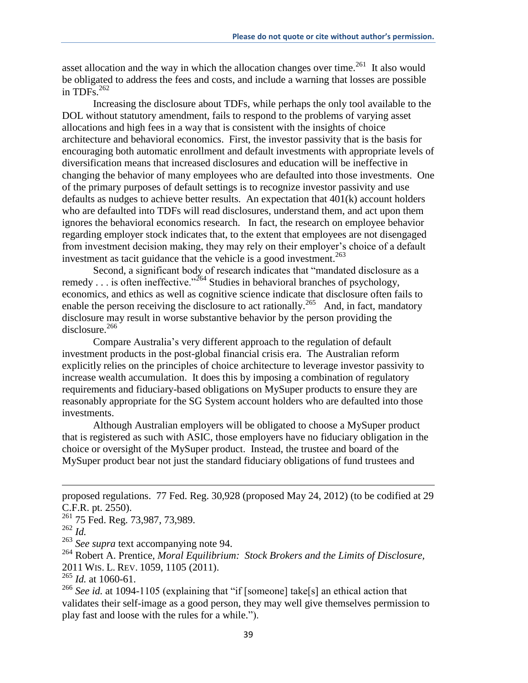asset allocation and the way in which the allocation changes over time.<sup>261</sup> It also would be obligated to address the fees and costs, and include a warning that losses are possible in TDFs. $^{262}$ 

Increasing the disclosure about TDFs, while perhaps the only tool available to the DOL without statutory amendment, fails to respond to the problems of varying asset allocations and high fees in a way that is consistent with the insights of choice architecture and behavioral economics. First, the investor passivity that is the basis for encouraging both automatic enrollment and default investments with appropriate levels of diversification means that increased disclosures and education will be ineffective in changing the behavior of many employees who are defaulted into those investments. One of the primary purposes of default settings is to recognize investor passivity and use defaults as nudges to achieve better results. An expectation that 401(k) account holders who are defaulted into TDFs will read disclosures, understand them, and act upon them ignores the behavioral economics research. In fact, the research on employee behavior regarding employer stock indicates that, to the extent that employees are not disengaged from investment decision making, they may rely on their employer's choice of a default investment as tacit guidance that the vehicle is a good investment. $^{263}$ 

Second, a significant body of research indicates that "mandated disclosure as a remedy  $\dots$  is often ineffective."<sup>264</sup> Studies in behavioral branches of psychology, economics, and ethics as well as cognitive science indicate that disclosure often fails to enable the person receiving the disclosure to act rationally.<sup>265</sup> And, in fact, mandatory disclosure may result in worse substantive behavior by the person providing the disclosure.<sup>266</sup>

Compare Australia's very different approach to the regulation of default investment products in the post-global financial crisis era. The Australian reform explicitly relies on the principles of choice architecture to leverage investor passivity to increase wealth accumulation. It does this by imposing a combination of regulatory requirements and fiduciary-based obligations on MySuper products to ensure they are reasonably appropriate for the SG System account holders who are defaulted into those investments.

Although Australian employers will be obligated to choose a MySuper product that is registered as such with ASIC, those employers have no fiduciary obligation in the choice or oversight of the MySuper product. Instead, the trustee and board of the MySuper product bear not just the standard fiduciary obligations of fund trustees and

l

<sup>264</sup> Robert A. Prentice, *Moral Equilibrium: Stock Brokers and the Limits of Disclosure,*  2011 WIS. L. REV. 1059, 1105 (2011).

 $\frac{265}{265}$  *Id.* at 1060-61.

<sup>266</sup> See id. at 1094-1105 (explaining that "if [someone] take[s] an ethical action that validates their self-image as a good person, they may well give themselves permission to play fast and loose with the rules for a while.").

proposed regulations. 77 Fed. Reg. 30,928 (proposed May 24, 2012) (to be codified at 29 C.F.R. pt. 2550).

<sup>&</sup>lt;sup>261</sup> 75 Fed. Reg. 73,987, 73,989.

<sup>262</sup> *Id.*

<sup>263</sup> *See supra* text accompanying note 94.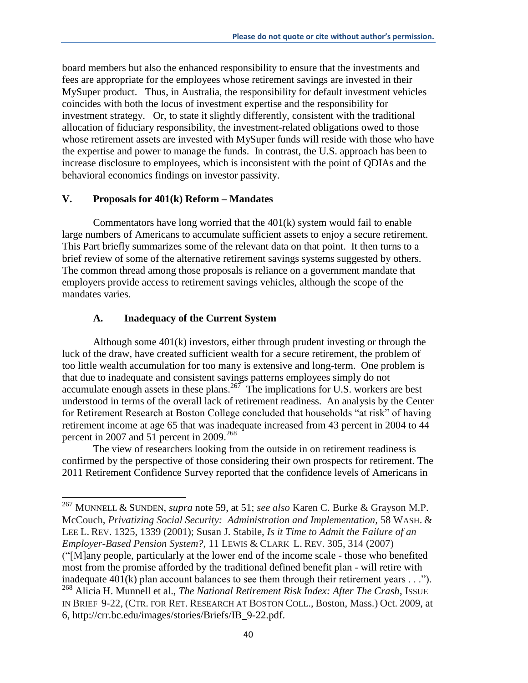board members but also the enhanced responsibility to ensure that the investments and fees are appropriate for the employees whose retirement savings are invested in their MySuper product. Thus, in Australia, the responsibility for default investment vehicles coincides with both the locus of investment expertise and the responsibility for investment strategy. Or, to state it slightly differently, consistent with the traditional allocation of fiduciary responsibility, the investment-related obligations owed to those whose retirement assets are invested with MySuper funds will reside with those who have the expertise and power to manage the funds. In contrast, the U.S. approach has been to increase disclosure to employees, which is inconsistent with the point of QDIAs and the behavioral economics findings on investor passivity.

### **V. Proposals for 401(k) Reform – Mandates**

Commentators have long worried that the 401(k) system would fail to enable large numbers of Americans to accumulate sufficient assets to enjoy a secure retirement. This Part briefly summarizes some of the relevant data on that point. It then turns to a brief review of some of the alternative retirement savings systems suggested by others. The common thread among those proposals is reliance on a government mandate that employers provide access to retirement savings vehicles, although the scope of the mandates varies.

#### **A. Inadequacy of the Current System**

 $\overline{a}$ 

Although some 401(k) investors, either through prudent investing or through the luck of the draw, have created sufficient wealth for a secure retirement, the problem of too little wealth accumulation for too many is extensive and long-term. One problem is that due to inadequate and consistent savings patterns employees simply do not accumulate enough assets in these plans.<sup>267</sup> The implications for U.S. workers are best understood in terms of the overall lack of retirement readiness. An analysis by the Center for Retirement Research at Boston College concluded that households "at risk" of having retirement income at age 65 that was inadequate increased from 43 percent in 2004 to 44 percent in 2007 and 51 percent in 2009.<sup>268</sup>

The view of researchers looking from the outside in on retirement readiness is confirmed by the perspective of those considering their own prospects for retirement. The 2011 Retirement Confidence Survey reported that the confidence levels of Americans in

<sup>267</sup> MUNNELL & SUNDEN, *supra* note 59, at 51; *see also* Karen C. Burke & Grayson M.P. McCouch, *Privatizing Social Security: Administration and Implementation,* 58 WASH. & LEE L. REV. 1325, 1339 (2001); Susan J. Stabile, *Is it Time to Admit the Failure of an Employer-Based Pension System?,* 11 LEWIS & CLARK L. REV. 305, 314 (2007)

<sup>(&</sup>quot;[M]any people, particularly at the lower end of the income scale - those who benefited most from the promise afforded by the traditional defined benefit plan - will retire with inadequate 401(k) plan account balances to see them through their retirement years . . .").

<sup>268</sup> Alicia H. Munnell et al., *The National Retirement Risk Index: After The Crash*, ISSUE IN BRIEF 9-22, (CTR. FOR RET. RESEARCH AT BOSTON COLL., Boston, Mass.) Oct. 2009, at 6, http://crr.bc.edu/images/stories/Briefs/IB\_9-22.pdf.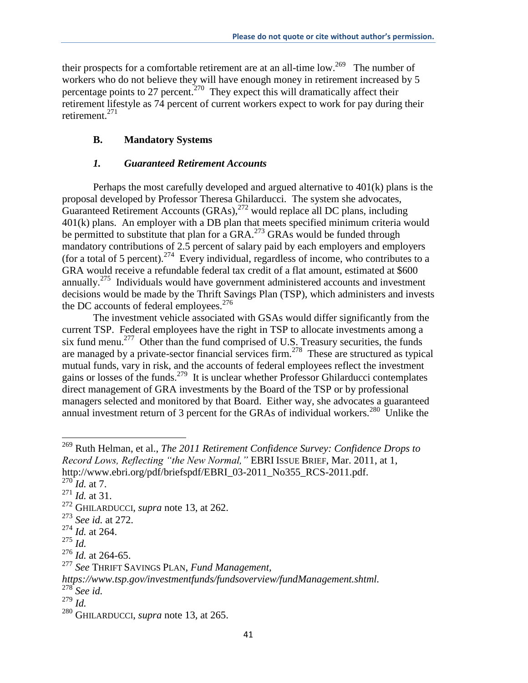their prospects for a comfortable retirement are at an all-time  $low.^{269}$  The number of workers who do not believe they will have enough money in retirement increased by 5 percentage points to 27 percent.<sup>270</sup> They expect this will dramatically affect their retirement lifestyle as 74 percent of current workers expect to work for pay during their retirement.<sup>271</sup>

# **B. Mandatory Systems**

# *1. Guaranteed Retirement Accounts*

Perhaps the most carefully developed and argued alternative to 401(k) plans is the proposal developed by Professor Theresa Ghilarducci. The system she advocates, Guaranteed Retirement Accounts  $(GRAs)$ ,  $^{272}$  would replace all DC plans, including 401(k) plans. An employer with a DB plan that meets specified minimum criteria would be permitted to substitute that plan for a  $GRA<sup>273</sup> GRAs$  would be funded through mandatory contributions of 2.5 percent of salary paid by each employers and employers (for a total of 5 percent).<sup>274</sup> Every individual, regardless of income, who contributes to a GRA would receive a refundable federal tax credit of a flat amount, estimated at \$600 annually.<sup>275</sup> Individuals would have government administered accounts and investment decisions would be made by the Thrift Savings Plan (TSP), which administers and invests the DC accounts of federal employees.<sup>276</sup>

The investment vehicle associated with GSAs would differ significantly from the current TSP. Federal employees have the right in TSP to allocate investments among a six fund menu.<sup>277</sup> Other than the fund comprised of U.S. Treasury securities, the funds are managed by a private-sector financial services firm.<sup>278</sup> These are structured as typical mutual funds, vary in risk, and the accounts of federal employees reflect the investment gains or losses of the funds.<sup>279</sup> It is unclear whether Professor Ghilarducci contemplates direct management of GRA investments by the Board of the TSP or by professional managers selected and monitored by that Board. Either way, she advocates a guaranteed annual investment return of 3 percent for the GRAs of individual workers.<sup>280</sup> Unlike the

<sup>269</sup> Ruth Helman, et al., *The 2011 Retirement Confidence Survey: Confidence Drops to Record Lows, Reflecting "the New Normal,"* EBRI ISSUE BRIEF, Mar. 2011, at 1, http://www.ebri.org/pdf/briefspdf/EBRI\_03-2011\_No355\_RCS-2011.pdf.

 $^{270}$ *Id.* at 7.

<sup>271</sup> *Id.* at 31.

<sup>272</sup> GHILARDUCCI, *supra* note 13, at 262.

<sup>273</sup> *See id.* at 272.

<sup>274</sup> *Id.* at 264.

<sup>275</sup> *Id.*

<sup>276</sup> *Id.* at 264-65.

<sup>277</sup> *See* THRIFT SAVINGS PLAN, *Fund Management,* 

*https://www.tsp.gov/investmentfunds/fundsoverview/fundManagement.shtml.*

<sup>278</sup> *See id.* 

 $279$  *Id.* 

<sup>280</sup> GHILARDUCCI, *supra* note 13, at 265.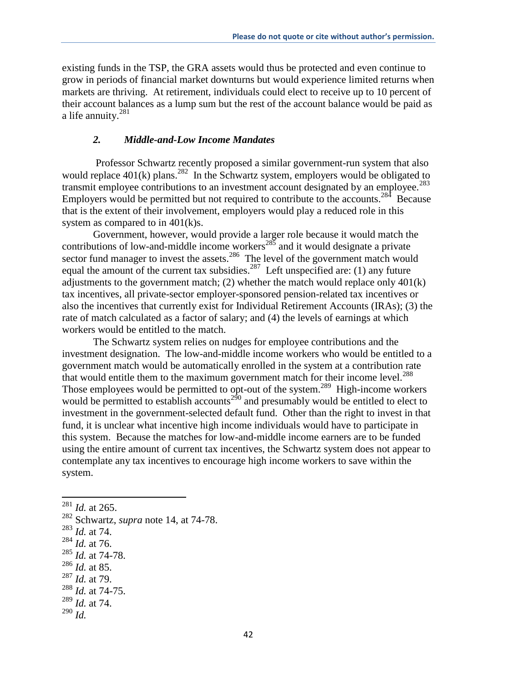existing funds in the TSP, the GRA assets would thus be protected and even continue to grow in periods of financial market downturns but would experience limited returns when markets are thriving. At retirement, individuals could elect to receive up to 10 percent of their account balances as a lump sum but the rest of the account balance would be paid as a life annuity. $281$ 

#### *2. Middle-and-Low Income Mandates*

Professor Schwartz recently proposed a similar government-run system that also would replace  $401(k)$  plans.<sup>282</sup> In the Schwartz system, employers would be obligated to transmit employee contributions to an investment account designated by an employee.<sup>283</sup> Employers would be permitted but not required to contribute to the accounts.<sup>284</sup> Because that is the extent of their involvement, employers would play a reduced role in this system as compared to in 401(k)s.

Government, however, would provide a larger role because it would match the contributions of low-and-middle income workers<sup>285</sup> and it would designate a private sector fund manager to invest the assets.<sup>286</sup> The level of the government match would equal the amount of the current tax subsidies.<sup>287</sup> Left unspecified are: (1) any future adjustments to the government match; (2) whether the match would replace only  $401(k)$ tax incentives, all private-sector employer-sponsored pension-related tax incentives or also the incentives that currently exist for Individual Retirement Accounts (IRAs); (3) the rate of match calculated as a factor of salary; and (4) the levels of earnings at which workers would be entitled to the match.

The Schwartz system relies on nudges for employee contributions and the investment designation. The low-and-middle income workers who would be entitled to a government match would be automatically enrolled in the system at a contribution rate that would entitle them to the maximum government match for their income level.<sup>288</sup> Those employees would be permitted to opt-out of the system.<sup>289</sup> High-income workers would be permitted to establish accounts<sup>290</sup> and presumably would be entitled to elect to investment in the government-selected default fund. Other than the right to invest in that fund, it is unclear what incentive high income individuals would have to participate in this system. Because the matches for low-and-middle income earners are to be funded using the entire amount of current tax incentives, the Schwartz system does not appear to contemplate any tax incentives to encourage high income workers to save within the system.

 $\overline{a}$ 

- <sup>286</sup> *Id.* at 85.
- <sup>287</sup> *Id.* at 79.

<sup>290</sup> *Id.* 

<sup>281</sup> *Id.* at 265.

<sup>282</sup> Schwartz, *supra* note 14, at 74-78.

<sup>283</sup> *Id.* at 74.

<sup>284</sup> *Id.* at 76.

<sup>285</sup> *Id.* at 74-78.

<sup>288</sup> *Id.* at 74-75.

<sup>289</sup> *Id.* at 74.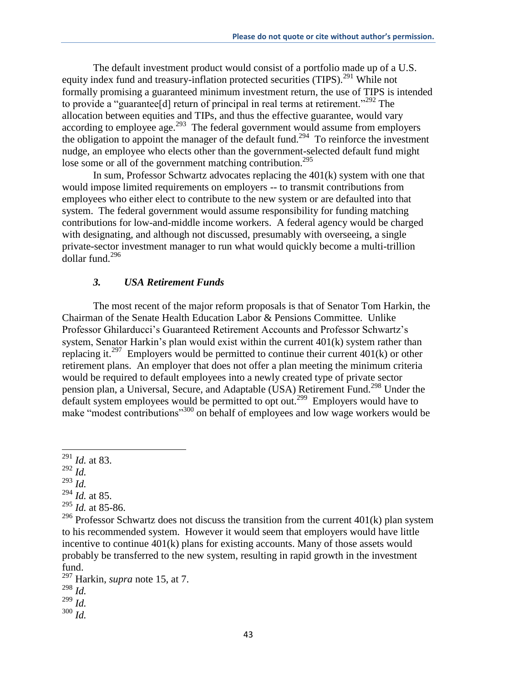The default investment product would consist of a portfolio made up of a U.S. equity index fund and treasury-inflation protected securities (TIPS).<sup>291</sup> While not formally promising a guaranteed minimum investment return, the use of TIPS is intended to provide a "guarantee<sup>[d]</sup> return of principal in real terms at retirement."<sup>292</sup> The allocation between equities and TIPs, and thus the effective guarantee, would vary according to employee age.<sup>293</sup> The federal government would assume from employers the obligation to appoint the manager of the default fund.<sup>294</sup> To reinforce the investment nudge, an employee who elects other than the government-selected default fund might lose some or all of the government matching contribution.<sup>295</sup>

In sum, Professor Schwartz advocates replacing the 401(k) system with one that would impose limited requirements on employers -- to transmit contributions from employees who either elect to contribute to the new system or are defaulted into that system. The federal government would assume responsibility for funding matching contributions for low-and-middle income workers. A federal agency would be charged with designating, and although not discussed, presumably with overseeing, a single private-sector investment manager to run what would quickly become a multi-trillion  $\frac{1}{2}$ dollar fund.<sup>296</sup>

### *3. USA Retirement Funds*

The most recent of the major reform proposals is that of Senator Tom Harkin, the Chairman of the Senate Health Education Labor & Pensions Committee. Unlike Professor Ghilarducci's Guaranteed Retirement Accounts and Professor Schwartz's system, Senator Harkin's plan would exist within the current 401(k) system rather than replacing it.<sup>297</sup> Employers would be permitted to continue their current  $401(k)$  or other retirement plans. An employer that does not offer a plan meeting the minimum criteria would be required to default employees into a newly created type of private sector pension plan, a Universal, Secure, and Adaptable (USA) Retirement Fund. <sup>298</sup> Under the default system employees would be permitted to opt out.<sup>299</sup> Employers would have to make "modest contributions"<sup>300</sup> on behalf of employees and low wage workers would be

<sup>292</sup> *Id.* 

- <sup>293</sup> *Id.*
- <sup>294</sup> *Id.* at 85.
- <sup>295</sup> *Id.* at 85-86.

- <sup>297</sup> Harkin, *supra* note 15, at 7.
- <sup>298</sup> *Id.*
- <sup>299</sup> *Id.*
- <sup>300</sup> *Id.*

<sup>291</sup> *Id.* at 83.

<sup>&</sup>lt;sup>296</sup> Professor Schwartz does not discuss the transition from the current  $401(k)$  plan system to his recommended system. However it would seem that employers would have little incentive to continue 401(k) plans for existing accounts. Many of those assets would probably be transferred to the new system, resulting in rapid growth in the investment fund.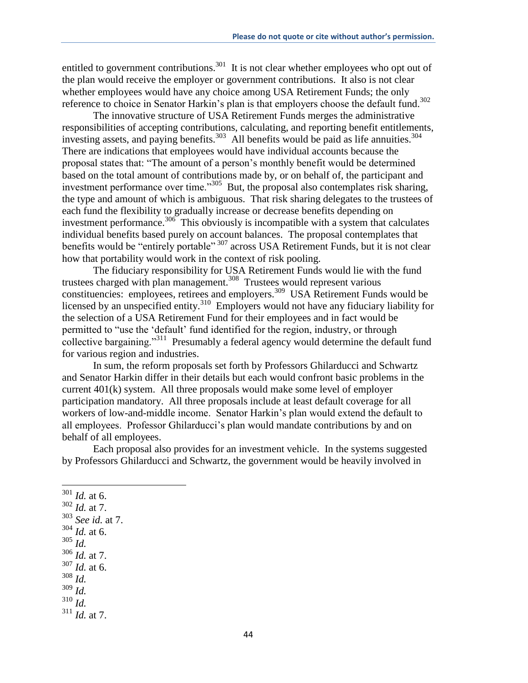entitled to government contributions.<sup>301</sup> It is not clear whether employees who opt out of the plan would receive the employer or government contributions. It also is not clear whether employees would have any choice among USA Retirement Funds; the only reference to choice in Senator Harkin's plan is that employers choose the default fund.<sup>302</sup>

The innovative structure of USA Retirement Funds merges the administrative responsibilities of accepting contributions, calculating, and reporting benefit entitlements, investing assets, and paying benefits.<sup>303</sup> All benefits would be paid as life annuities.<sup>304</sup> There are indications that employees would have individual accounts because the proposal states that: "The amount of a person's monthly benefit would be determined based on the total amount of contributions made by, or on behalf of, the participant and investment performance over time."<sup>305</sup> But, the proposal also contemplates risk sharing, the type and amount of which is ambiguous. That risk sharing delegates to the trustees of each fund the flexibility to gradually increase or decrease benefits depending on investment performance.<sup>306</sup> This obviously is incompatible with a system that calculates individual benefits based purely on account balances. The proposal contemplates that benefits would be "entirely portable"<sup>307</sup> across USA Retirement Funds, but it is not clear how that portability would work in the context of risk pooling.

The fiduciary responsibility for USA Retirement Funds would lie with the fund trustees charged with plan management.<sup>308</sup> Trustees would represent various constituencies: employees, retirees and employers.<sup>309</sup> USA Retirement Funds would be licensed by an unspecified entity.<sup>310</sup> Employers would not have any fiduciary liability for the selection of a USA Retirement Fund for their employees and in fact would be permitted to "use the 'default' fund identified for the region, industry, or through collective bargaining."<sup>311</sup> Presumably a federal agency would determine the default fund for various region and industries.

In sum, the reform proposals set forth by Professors Ghilarducci and Schwartz and Senator Harkin differ in their details but each would confront basic problems in the current 401(k) system. All three proposals would make some level of employer participation mandatory. All three proposals include at least default coverage for all workers of low-and-middle income. Senator Harkin's plan would extend the default to all employees. Professor Ghilarducci's plan would mandate contributions by and on behalf of all employees.

Each proposal also provides for an investment vehicle. In the systems suggested by Professors Ghilarducci and Schwartz, the government would be heavily involved in

- <sup>302</sup> *Id.* at 7.
- <sup>303</sup> *See id.* at 7.
- <sup>304</sup> *Id.* at 6.
- <sup>305</sup> *Id.*

l

- <sup>306</sup> *Id.* at 7.
- <sup>307</sup> *Id.* at 6.
- <sup>308</sup> *Id.*
- <sup>309</sup> *Id.*
- <sup>310</sup> *Id.*

<sup>301</sup> *Id.* at 6.

<sup>311</sup> *Id.* at 7.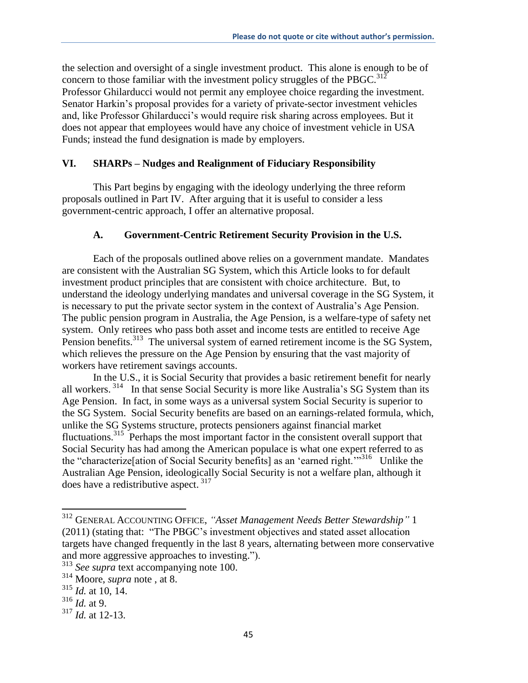the selection and oversight of a single investment product. This alone is enough to be of concern to those familiar with the investment policy struggles of the PBGC.<sup>312</sup> Professor Ghilarducci would not permit any employee choice regarding the investment. Senator Harkin's proposal provides for a variety of private-sector investment vehicles and, like Professor Ghilarducci's would require risk sharing across employees. But it does not appear that employees would have any choice of investment vehicle in USA Funds; instead the fund designation is made by employers.

## **VI. SHARPs – Nudges and Realignment of Fiduciary Responsibility**

This Part begins by engaging with the ideology underlying the three reform proposals outlined in Part IV. After arguing that it is useful to consider a less government-centric approach, I offer an alternative proposal.

### **A. Government-Centric Retirement Security Provision in the U.S.**

Each of the proposals outlined above relies on a government mandate. Mandates are consistent with the Australian SG System, which this Article looks to for default investment product principles that are consistent with choice architecture. But, to understand the ideology underlying mandates and universal coverage in the SG System, it is necessary to put the private sector system in the context of Australia's Age Pension. The public pension program in Australia, the Age Pension, is a welfare-type of safety net system. Only retirees who pass both asset and income tests are entitled to receive Age Pension benefits.<sup>313</sup> The universal system of earned retirement income is the SG System, which relieves the pressure on the Age Pension by ensuring that the vast majority of workers have retirement savings accounts.

In the U.S., it is Social Security that provides a basic retirement benefit for nearly all workers.<sup>314</sup> In that sense Social Security is more like Australia's SG System than its Age Pension. In fact, in some ways as a universal system Social Security is superior to the SG System. Social Security benefits are based on an earnings-related formula, which, unlike the SG Systems structure, protects pensioners against financial market fluctuations.<sup>315</sup> Perhaps the most important factor in the consistent overall support that Social Security has had among the American populace is what one expert referred to as the "characterize[ation of Social Security benefits] as an 'earned right.'"<sup>316</sup> Unlike the Australian Age Pension, ideologically Social Security is not a welfare plan, although it does have a redistributive aspect. <sup>317</sup>

<sup>312</sup> GENERAL ACCOUNTING OFFICE, *"Asset Management Needs Better Stewardship"* 1 (2011) (stating that: "The PBGC's investment objectives and stated asset allocation targets have changed frequently in the last 8 years, alternating between more conservative and more aggressive approaches to investing.").

<sup>313</sup> *See supra* text accompanying note 100.

<sup>314</sup> Moore, *supra* note , at 8.

<sup>315</sup> *Id.* at 10, 14.

<sup>316</sup> *Id.* at 9.

<sup>317</sup> *Id.* at 12-13.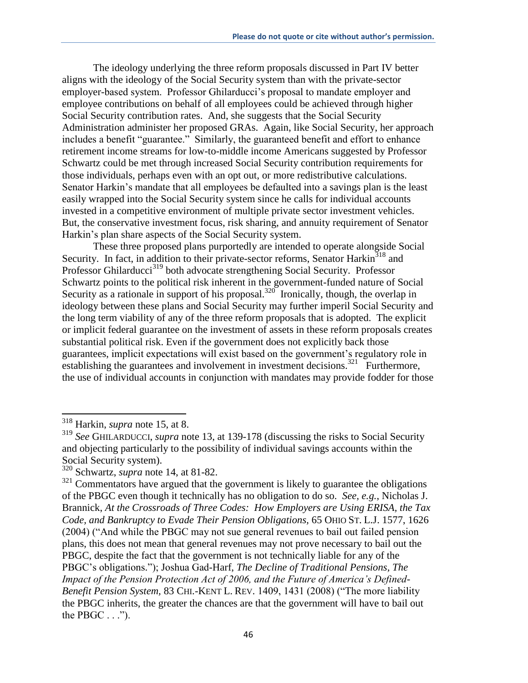The ideology underlying the three reform proposals discussed in Part IV better aligns with the ideology of the Social Security system than with the private-sector employer-based system. Professor Ghilarducci's proposal to mandate employer and employee contributions on behalf of all employees could be achieved through higher Social Security contribution rates. And, she suggests that the Social Security Administration administer her proposed GRAs. Again, like Social Security, her approach includes a benefit "guarantee." Similarly, the guaranteed benefit and effort to enhance retirement income streams for low-to-middle income Americans suggested by Professor Schwartz could be met through increased Social Security contribution requirements for those individuals, perhaps even with an opt out, or more redistributive calculations. Senator Harkin's mandate that all employees be defaulted into a savings plan is the least easily wrapped into the Social Security system since he calls for individual accounts invested in a competitive environment of multiple private sector investment vehicles. But, the conservative investment focus, risk sharing, and annuity requirement of Senator Harkin's plan share aspects of the Social Security system.

These three proposed plans purportedly are intended to operate alongside Social Security. In fact, in addition to their private-sector reforms, Senator Harkin<sup>318</sup> and Professor Ghilarducci<sup>319</sup> both advocate strengthening Social Security. Professor Schwartz points to the political risk inherent in the government-funded nature of Social Security as a rationale in support of his proposal.<sup>320</sup> Ironically, though, the overlap in ideology between these plans and Social Security may further imperil Social Security and the long term viability of any of the three reform proposals that is adopted. The explicit or implicit federal guarantee on the investment of assets in these reform proposals creates substantial political risk. Even if the government does not explicitly back those guarantees, implicit expectations will exist based on the government's regulatory role in establishing the guarantees and involvement in investment decisions.<sup>321</sup> Furthermore, the use of individual accounts in conjunction with mandates may provide fodder for those

<sup>318</sup> Harkin, *supra* note 15, at 8.

<sup>319</sup> *See* GHILARDUCCI, *supra* note 13, at 139-178 (discussing the risks to Social Security and objecting particularly to the possibility of individual savings accounts within the Social Security system).

<sup>320</sup> Schwartz, *supra* note 14, at 81-82.

 $321$  Commentators have argued that the government is likely to guarantee the obligations of the PBGC even though it technically has no obligation to do so. *See, e.g.*, Nicholas J. Brannick, *At the Crossroads of Three Codes: How Employers are Using ERISA, the Tax Code, and Bankruptcy to Evade Their Pension Obligations,* 65 OHIO ST. L.J. 1577, 1626 (2004) ("And while the PBGC may not sue general revenues to bail out failed pension plans, this does not mean that general revenues may not prove necessary to bail out the PBGC, despite the fact that the government is not technically liable for any of the PBGC's obligations."); Joshua Gad-Harf, *The Decline of Traditional Pensions, The Impact of the Pension Protection Act of 2006, and the Future of America's Defined-Benefit Pension System,* 83 CHI.-KENT L. REV. 1409, 1431 (2008) ("The more liability the PBGC inherits, the greater the chances are that the government will have to bail out the PBGC  $\ldots$ ").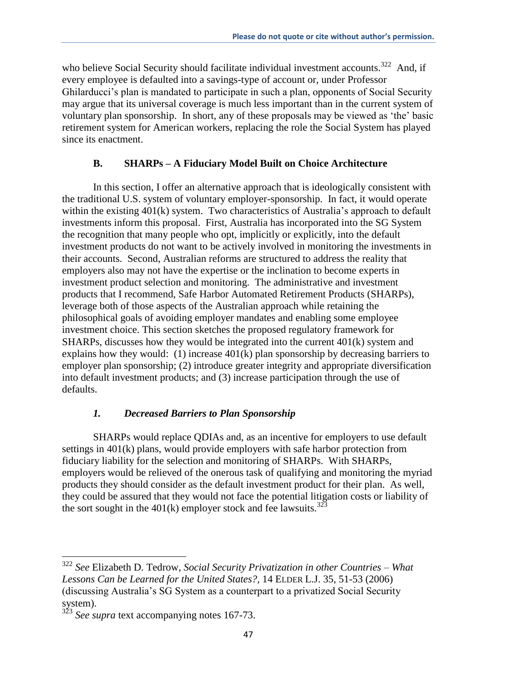who believe Social Security should facilitate individual investment accounts.<sup>322</sup> And, if every employee is defaulted into a savings-type of account or, under Professor Ghilarducci's plan is mandated to participate in such a plan, opponents of Social Security may argue that its universal coverage is much less important than in the current system of voluntary plan sponsorship. In short, any of these proposals may be viewed as 'the' basic retirement system for American workers, replacing the role the Social System has played since its enactment.

## **B. SHARPs – A Fiduciary Model Built on Choice Architecture**

In this section, I offer an alternative approach that is ideologically consistent with the traditional U.S. system of voluntary employer-sponsorship. In fact, it would operate within the existing 401(k) system. Two characteristics of Australia's approach to default investments inform this proposal. First, Australia has incorporated into the SG System the recognition that many people who opt, implicitly or explicitly, into the default investment products do not want to be actively involved in monitoring the investments in their accounts. Second, Australian reforms are structured to address the reality that employers also may not have the expertise or the inclination to become experts in investment product selection and monitoring. The administrative and investment products that I recommend, Safe Harbor Automated Retirement Products (SHARPs), leverage both of those aspects of the Australian approach while retaining the philosophical goals of avoiding employer mandates and enabling some employee investment choice. This section sketches the proposed regulatory framework for SHARPs, discusses how they would be integrated into the current 401(k) system and explains how they would: (1) increase 401(k) plan sponsorship by decreasing barriers to employer plan sponsorship; (2) introduce greater integrity and appropriate diversification into default investment products; and (3) increase participation through the use of defaults.

#### *1. Decreased Barriers to Plan Sponsorship*

SHARPs would replace QDIAs and, as an incentive for employers to use default settings in 401(k) plans, would provide employers with safe harbor protection from fiduciary liability for the selection and monitoring of SHARPs. With SHARPs, employers would be relieved of the onerous task of qualifying and monitoring the myriad products they should consider as the default investment product for their plan. As well, they could be assured that they would not face the potential litigation costs or liability of the sort sought in the 401(k) employer stock and fee lawsuits.<sup>323</sup>

l

<sup>322</sup> *See* Elizabeth D. Tedrow, *Social Security Privatization in other Countries – What Lessons Can be Learned for the United States?,* 14 ELDER L.J. 35, 51-53 (2006) (discussing Australia's SG System as a counterpart to a privatized Social Security system).

<sup>&</sup>lt;sup>323</sup> See supra text accompanying notes 167-73.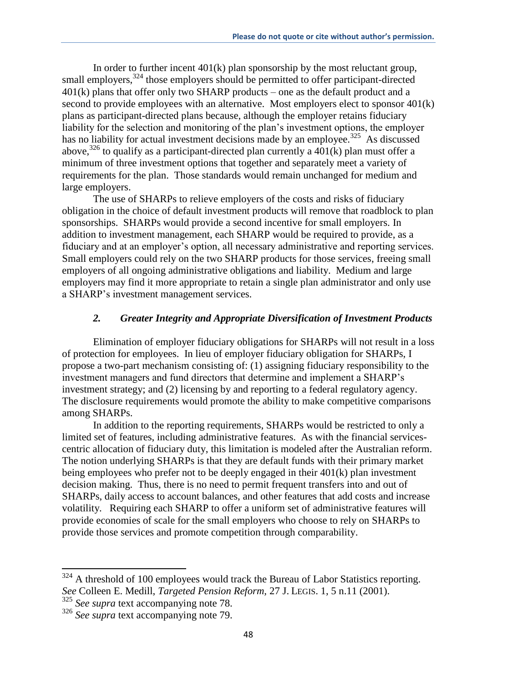In order to further incent  $401(k)$  plan sponsorship by the most reluctant group, small employers,<sup>324</sup> those employers should be permitted to offer participant-directed  $401(k)$  plans that offer only two SHARP products – one as the default product and a second to provide employees with an alternative. Most employers elect to sponsor 401(k) plans as participant-directed plans because, although the employer retains fiduciary liability for the selection and monitoring of the plan's investment options, the employer has no liability for actual investment decisions made by an employee.<sup>325</sup> As discussed above,<sup>326</sup> to qualify as a participant-directed plan currently a  $401(k)$  plan must offer a minimum of three investment options that together and separately meet a variety of requirements for the plan. Those standards would remain unchanged for medium and large employers.

The use of SHARPs to relieve employers of the costs and risks of fiduciary obligation in the choice of default investment products will remove that roadblock to plan sponsorships. SHARPs would provide a second incentive for small employers. In addition to investment management, each SHARP would be required to provide, as a fiduciary and at an employer's option, all necessary administrative and reporting services. Small employers could rely on the two SHARP products for those services, freeing small employers of all ongoing administrative obligations and liability. Medium and large employers may find it more appropriate to retain a single plan administrator and only use a SHARP's investment management services.

### *2. Greater Integrity and Appropriate Diversification of Investment Products*

Elimination of employer fiduciary obligations for SHARPs will not result in a loss of protection for employees. In lieu of employer fiduciary obligation for SHARPs, I propose a two-part mechanism consisting of: (1) assigning fiduciary responsibility to the investment managers and fund directors that determine and implement a SHARP's investment strategy; and (2) licensing by and reporting to a federal regulatory agency. The disclosure requirements would promote the ability to make competitive comparisons among SHARPs.

In addition to the reporting requirements, SHARPs would be restricted to only a limited set of features, including administrative features. As with the financial servicescentric allocation of fiduciary duty, this limitation is modeled after the Australian reform. The notion underlying SHARPs is that they are default funds with their primary market being employees who prefer not to be deeply engaged in their 401(k) plan investment decision making. Thus, there is no need to permit frequent transfers into and out of SHARPs, daily access to account balances, and other features that add costs and increase volatility. Requiring each SHARP to offer a uniform set of administrative features will provide economies of scale for the small employers who choose to rely on SHARPs to provide those services and promote competition through comparability.

 $324$  A threshold of 100 employees would track the Bureau of Labor Statistics reporting. *See* Colleen E. Medill, *Targeted Pension Reform,* 27 J. LEGIS. 1, 5 n.11 (2001).

<sup>325</sup> *See supra* text accompanying note 78.

<sup>326</sup> *See supra* text accompanying note 79.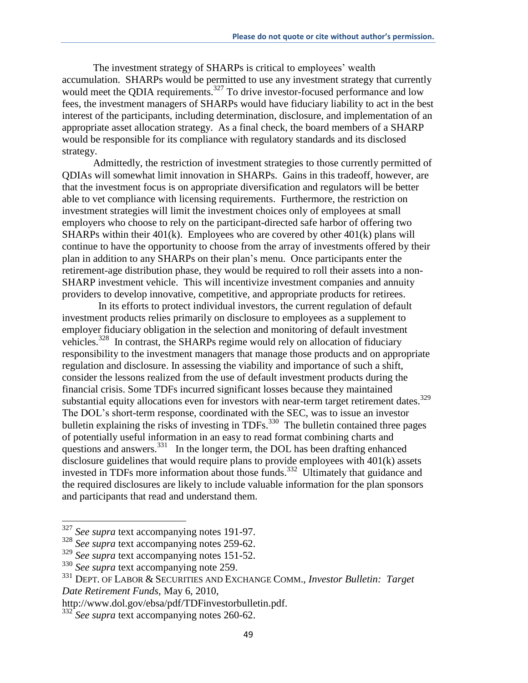The investment strategy of SHARPs is critical to employees' wealth accumulation. SHARPs would be permitted to use any investment strategy that currently would meet the QDIA requirements.<sup>327</sup> To drive investor-focused performance and low fees, the investment managers of SHARPs would have fiduciary liability to act in the best interest of the participants, including determination, disclosure, and implementation of an appropriate asset allocation strategy. As a final check, the board members of a SHARP would be responsible for its compliance with regulatory standards and its disclosed strategy.

Admittedly, the restriction of investment strategies to those currently permitted of QDIAs will somewhat limit innovation in SHARPs. Gains in this tradeoff, however, are that the investment focus is on appropriate diversification and regulators will be better able to vet compliance with licensing requirements. Furthermore, the restriction on investment strategies will limit the investment choices only of employees at small employers who choose to rely on the participant-directed safe harbor of offering two SHARPs within their  $401(k)$ . Employees who are covered by other  $401(k)$  plans will continue to have the opportunity to choose from the array of investments offered by their plan in addition to any SHARPs on their plan's menu. Once participants enter the retirement-age distribution phase, they would be required to roll their assets into a non-SHARP investment vehicle. This will incentivize investment companies and annuity providers to develop innovative, competitive, and appropriate products for retirees.

 In its efforts to protect individual investors, the current regulation of default investment products relies primarily on disclosure to employees as a supplement to employer fiduciary obligation in the selection and monitoring of default investment vehicles.<sup>328</sup> In contrast, the SHARPs regime would rely on allocation of fiduciary responsibility to the investment managers that manage those products and on appropriate regulation and disclosure. In assessing the viability and importance of such a shift, consider the lessons realized from the use of default investment products during the financial crisis. Some TDFs incurred significant losses because they maintained substantial equity allocations even for investors with near-term target retirement dates.<sup>329</sup> The DOL's short-term response, coordinated with the SEC, was to issue an investor bulletin explaining the risks of investing in TDFs.<sup>330</sup> The bulletin contained three pages of potentially useful information in an easy to read format combining charts and questions and answers.<sup>331</sup> In the longer term, the DOL has been drafting enhanced disclosure guidelines that would require plans to provide employees with 401(k) assets invested in TDFs more information about those funds.<sup>332</sup> Ultimately that guidance and the required disclosures are likely to include valuable information for the plan sponsors and participants that read and understand them.

<sup>327</sup> *See supra* text accompanying notes 191-97.

<sup>328</sup> *See supra* text accompanying notes 259-62.

<sup>329</sup> *See supra* text accompanying notes 151-52.

<sup>330</sup> *See supra* text accompanying note 259.

<sup>331</sup> DEPT. OF LABOR & SECURITIES AND EXCHANGE COMM., *Investor Bulletin: Target Date Retirement Funds,* May 6, 2010,

http://www.dol.gov/ebsa/pdf/TDFinvestorbulletin.pdf.

<sup>332</sup> *See supra* text accompanying notes 260-62.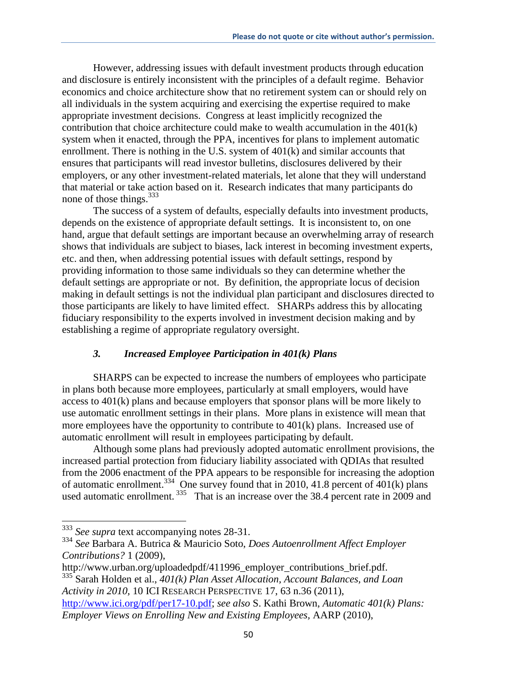However, addressing issues with default investment products through education and disclosure is entirely inconsistent with the principles of a default regime. Behavior economics and choice architecture show that no retirement system can or should rely on all individuals in the system acquiring and exercising the expertise required to make appropriate investment decisions. Congress at least implicitly recognized the contribution that choice architecture could make to wealth accumulation in the 401(k) system when it enacted, through the PPA, incentives for plans to implement automatic enrollment. There is nothing in the U.S. system of 401(k) and similar accounts that ensures that participants will read investor bulletins, disclosures delivered by their employers, or any other investment-related materials, let alone that they will understand that material or take action based on it. Research indicates that many participants do none of those things.<sup>333</sup>

The success of a system of defaults, especially defaults into investment products, depends on the existence of appropriate default settings. It is inconsistent to, on one hand, argue that default settings are important because an overwhelming array of research shows that individuals are subject to biases, lack interest in becoming investment experts, etc. and then, when addressing potential issues with default settings, respond by providing information to those same individuals so they can determine whether the default settings are appropriate or not. By definition, the appropriate locus of decision making in default settings is not the individual plan participant and disclosures directed to those participants are likely to have limited effect. SHARPs address this by allocating fiduciary responsibility to the experts involved in investment decision making and by establishing a regime of appropriate regulatory oversight.

#### *3. Increased Employee Participation in 401(k) Plans*

SHARPS can be expected to increase the numbers of employees who participate in plans both because more employees, particularly at small employers, would have access to 401(k) plans and because employers that sponsor plans will be more likely to use automatic enrollment settings in their plans. More plans in existence will mean that more employees have the opportunity to contribute to 401(k) plans. Increased use of automatic enrollment will result in employees participating by default.

Although some plans had previously adopted automatic enrollment provisions, the increased partial protection from fiduciary liability associated with QDIAs that resulted from the 2006 enactment of the PPA appears to be responsible for increasing the adoption of automatic enrollment.<sup>334</sup> One survey found that in 2010, 41.8 percent of 401(k) plans used automatic enrollment.  $335$  That is an increase over the 38.4 percent rate in 2009 and

<sup>333</sup> *See supra* text accompanying notes 28-31.

<sup>334</sup> *See* Barbara A. Butrica & Mauricio Soto, *Does Autoenrollment Affect Employer Contributions?* 1 (2009),

http://www.urban.org/uploadedpdf/411996\_employer\_contributions\_brief.pdf. <sup>335</sup> Sarah Holden et al., *401(k) Plan Asset Allocation, Account Balances, and Loan Activity in 2010,* 10 ICI RESEARCH PERSPECTIVE 17, 63 n.36 (2011),

http://www.ici.org/pdf/per17-10.pdf; *see also* S. Kathi Brown, *Automatic 401(k) Plans: Employer Views on Enrolling New and Existing Employees,* AARP (2010),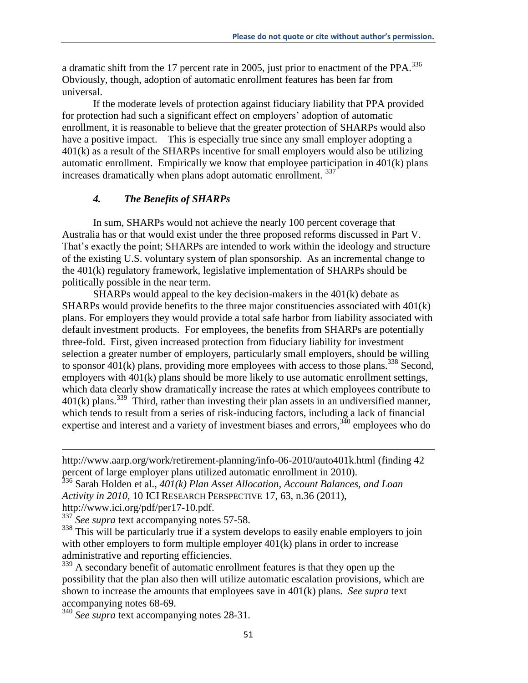a dramatic shift from the 17 percent rate in 2005, just prior to enactment of the PPA.<sup>336</sup> Obviously, though, adoption of automatic enrollment features has been far from universal.

If the moderate levels of protection against fiduciary liability that PPA provided for protection had such a significant effect on employers' adoption of automatic enrollment, it is reasonable to believe that the greater protection of SHARPs would also have a positive impact. This is especially true since any small employer adopting a 401(k) as a result of the SHARPs incentive for small employers would also be utilizing automatic enrollment. Empirically we know that employee participation in 401(k) plans increases dramatically when plans adopt automatic enrollment. 337

## *4. The Benefits of SHARPs*

In sum, SHARPs would not achieve the nearly 100 percent coverage that Australia has or that would exist under the three proposed reforms discussed in Part V. That's exactly the point; SHARPs are intended to work within the ideology and structure of the existing U.S. voluntary system of plan sponsorship. As an incremental change to the 401(k) regulatory framework, legislative implementation of SHARPs should be politically possible in the near term.

SHARPs would appeal to the key decision-makers in the  $401(k)$  debate as SHARPs would provide benefits to the three major constituencies associated with 401(k) plans. For employers they would provide a total safe harbor from liability associated with default investment products. For employees, the benefits from SHARPs are potentially three-fold. First, given increased protection from fiduciary liability for investment selection a greater number of employers, particularly small employers, should be willing to sponsor 401(k) plans, providing more employees with access to those plans.<sup>338</sup> Second, employers with 401(k) plans should be more likely to use automatic enrollment settings, which data clearly show dramatically increase the rates at which employees contribute to  $401(k)$  plans.<sup>339</sup> Third, rather than investing their plan assets in an undiversified manner, which tends to result from a series of risk-inducing factors, including a lack of financial expertise and interest and a variety of investment biases and errors,  $340$  employees who do

http://www.aarp.org/work/retirement-planning/info-06-2010/auto401k.html (finding 42 percent of large employer plans utilized automatic enrollment in 2010).

<sup>337</sup> See supra text accompanying notes 57-58.

 $\overline{a}$ 

<sup>338</sup> This will be particularly true if a system develops to easily enable employers to join with other employers to form multiple employer  $401(k)$  plans in order to increase administrative and reporting efficiencies.

<sup>339</sup> A secondary benefit of automatic enrollment features is that they open up the possibility that the plan also then will utilize automatic escalation provisions, which are shown to increase the amounts that employees save in 401(k) plans. *See supra* text accompanying notes 68-69.

<sup>340</sup> *See supra* text accompanying notes 28-31.

<sup>336</sup> Sarah Holden et al., *401(k) Plan Asset Allocation, Account Balances, and Loan Activity in 2010,* 10 ICI RESEARCH PERSPECTIVE 17, 63, n.36 (2011), http://www.ici.org/pdf/per17-10.pdf.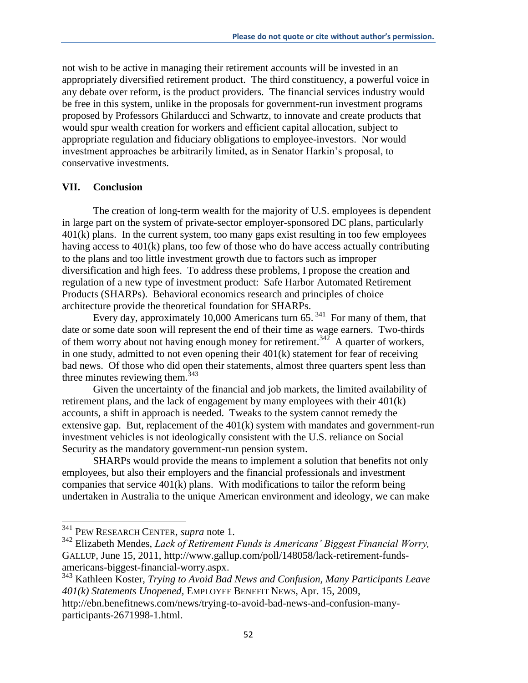not wish to be active in managing their retirement accounts will be invested in an appropriately diversified retirement product. The third constituency, a powerful voice in any debate over reform, is the product providers. The financial services industry would be free in this system, unlike in the proposals for government-run investment programs proposed by Professors Ghilarducci and Schwartz, to innovate and create products that would spur wealth creation for workers and efficient capital allocation, subject to appropriate regulation and fiduciary obligations to employee-investors. Nor would investment approaches be arbitrarily limited, as in Senator Harkin's proposal, to conservative investments.

#### **VII. Conclusion**

The creation of long-term wealth for the majority of U.S. employees is dependent in large part on the system of private-sector employer-sponsored DC plans, particularly 401(k) plans. In the current system, too many gaps exist resulting in too few employees having access to 401(k) plans, too few of those who do have access actually contributing to the plans and too little investment growth due to factors such as improper diversification and high fees. To address these problems, I propose the creation and regulation of a new type of investment product: Safe Harbor Automated Retirement Products (SHARPs). Behavioral economics research and principles of choice architecture provide the theoretical foundation for SHARPs.

Every day, approximately 10,000 Americans turn  $65.$ <sup>341</sup> For many of them, that date or some date soon will represent the end of their time as wage earners. Two-thirds of them worry about not having enough money for retirement.<sup>342</sup> A quarter of workers, in one study, admitted to not even opening their 401(k) statement for fear of receiving bad news. Of those who did open their statements, almost three quarters spent less than three minutes reviewing them.  $343$ 

Given the uncertainty of the financial and job markets, the limited availability of retirement plans, and the lack of engagement by many employees with their 401(k) accounts, a shift in approach is needed. Tweaks to the system cannot remedy the extensive gap. But, replacement of the 401(k) system with mandates and government-run investment vehicles is not ideologically consistent with the U.S. reliance on Social Security as the mandatory government-run pension system.

SHARPs would provide the means to implement a solution that benefits not only employees, but also their employers and the financial professionals and investment companies that service 401(k) plans. With modifications to tailor the reform being undertaken in Australia to the unique American environment and ideology, we can make

<sup>341</sup> PEW RESEARCH CENTER, *supra* note 1.

<sup>342</sup> Elizabeth Mendes, *Lack of Retirement Funds is Americans' Biggest Financial Worry,*  GALLUP, June 15, 2011, http://www.gallup.com/poll/148058/lack-retirement-fundsamericans-biggest-financial-worry.aspx.

<sup>343</sup> Kathleen Koster, *Trying to Avoid Bad News and Confusion, Many Participants Leave 401(k) Statements Unopened,* EMPLOYEE BENEFIT NEWS, Apr. 15, 2009,

http://ebn.benefitnews.com/news/trying-to-avoid-bad-news-and-confusion-manyparticipants-2671998-1.html.